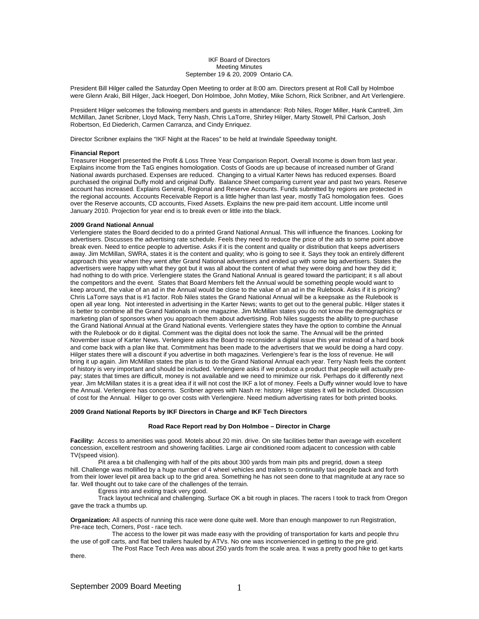## IKF Board of Directors Meeting Minutes September 19 & 20, 2009 Ontario CA.

President Bill Hilger called the Saturday Open Meeting to order at 8:00 am. Directors present at Roll Call by Holmboe were Glenn Araki, Bill Hilger, Jack Hoegerl, Don Holmboe, John Motley, Mike Schorn, Rick Scribner, and Art Verlengiere.

President Hilger welcomes the following members and guests in attendance: Rob Niles, Roger Miller, Hank Cantrell, Jim McMillan, Janet Scribner, Lloyd Mack, Terry Nash, Chris LaTorre, Shirley Hilger, Marty Stowell, Phil Carlson, Josh Robertson, Ed Diederich, Carmen Carranza, and Cindy Enriquez.

Director Scribner explains the "IKF Night at the Races" to be held at Irwindale Speedway tonight.

#### **Financial Report**

Treasurer Hoegerl presented the Profit & Loss Three Year Comparison Report. Overall Income is down from last year. Explains income from the TaG engines homologation. Costs of Goods are up because of increased number of Grand National awards purchased. Expenses are reduced. Changing to a virtual Karter News has reduced expenses. Board purchased the original Duffy mold and original Duffy. Balance Sheet comparing current year and past two years. Reserve account has increased. Explains General, Regional and Reserve Accounts. Funds submitted by regions are protected in the regional accounts. Accounts Receivable Report is a little higher than last year, mostly TaG homologation fees. Goes over the Reserve accounts, CD accounts, Fixed Assets. Explains the new pre-paid item account. Little income until January 2010. Projection for year end is to break even or little into the black.

#### **2009 Grand National Annual**

Verlengiere states the Board decided to do a printed Grand National Annual. This will influence the finances. Looking for advertisers. Discusses the advertising rate schedule. Feels they need to reduce the price of the ads to some point above break even. Need to entice people to advertise. Asks if it is the content and quality or distribution that keeps advertisers away. Jim McMillan, SWRA, states it is the content and quality; who is going to see it. Says they took an entirely different approach this year when they went after Grand National advertisers and ended up with some big advertisers. States the advertisers were happy with what they got but it was all about the content of what they were doing and how they did it; had nothing to do with price. Verlengiere states the Grand National Annual is geared toward the participant; it s all about the competitors and the event. States that Board Members felt the Annual would be something people would want to keep around, the value of an ad in the Annual would be close to the value of an ad in the Rulebook. Asks if it is pricing? Chris LaTorre says that is #1 factor. Rob Niles states the Grand National Annual will be a keepsake as the Rulebook is open all year long. Not interested in advertising in the Karter News; wants to get out to the general public. Hilger states it is better to combine all the Grand Nationals in one magazine. Jim McMillan states you do not know the demographics or marketing plan of sponsors when you approach them about advertising. Rob Niles suggests the ability to pre-purchase the Grand National Annual at the Grand National events. Verlengiere states they have the option to combine the Annual with the Rulebook or do it digital. Comment was the digital does not look the same. The Annual will be the printed November issue of Karter News. Verlengiere asks the Board to reconsider a digital issue this year instead of a hard book and come back with a plan like that. Commitment has been made to the advertisers that we would be doing a hard copy. Hilger states there will a discount if you advertise in both magazines. Verlengiere's fear is the loss of revenue. He will bring it up again. Jim McMillan states the plan is to do the Grand National Annual each year. Terry Nash feels the content of history is very important and should be included. Verlengiere asks if we produce a product that people will actually prepay; states that times are difficult, money is not available and we need to minimize our risk. Perhaps do it differently next year. Jim McMillan states it is a great idea if it will not cost the IKF a lot of money. Feels a Duffy winner would love to have the Annual. Verlengiere has concerns. Scribner agrees with Nash re: history. Hilger states it will be included. Discussion of cost for the Annual. Hilger to go over costs with Verlengiere. Need medium advertising rates for both printed books.

#### **2009 Grand National Reports by IKF Directors in Charge and IKF Tech Directors**

#### **Road Race Report read by Don Holmboe – Director in Charge**

**Facility:** Access to amenities was good. Motels about 20 min. drive. On site facilities better than average with excellent concession, excellent restroom and showering facilities. Large air conditioned room adjacent to concession with cable TV(speed vision).

 Pit area a bit challenging with half of the pits about 300 yards from main pits and pregrid, down a steep hill. Challenge was mollified by a huge number of 4 wheel vehicles and trailers to continually taxi people back and forth from their lower level pit area back up to the grid area. Something he has not seen done to that magnitude at any race so far. Well thought out to take care of the challenges of the terrain.

Egress into and exiting track very good.

 Track layout technical and challenging. Surface OK a bit rough in places. The racers I took to track from Oregon gave the track a thumbs up.

**Organization:** All aspects of running this race were done quite well. More than enough manpower to run Registration, Pre-race tech, Corners, Post - race tech.

 The access to the lower pit was made easy with the providing of transportation for karts and people thru the use of golf carts, and flat bed trailers hauled by ATVs. No one was inconvenienced in getting to the pre grid.

 The Post Race Tech Area was about 250 yards from the scale area. It was a pretty good hike to get karts there.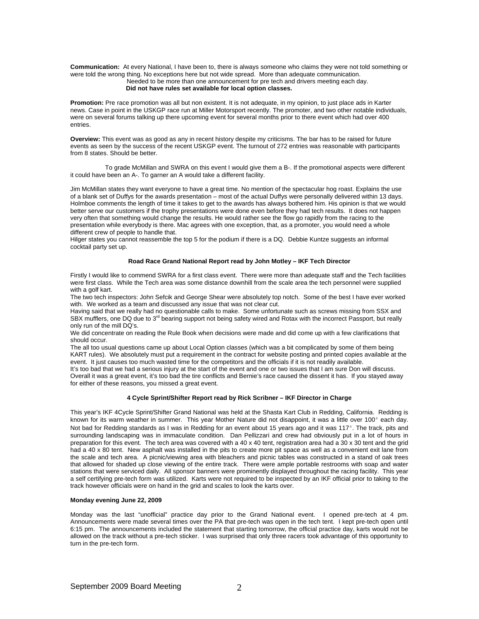**Communication:** At every National, I have been to, there is always someone who claims they were not told something or were told the wrong thing. No exceptions here but not wide spread. More than adequate communication. Needed to be more than one announcement for pre tech and drivers meeting each day. **Did not have rules set available for local option classes.** 

**Promotion:** Pre race promotion was all but non existent. It is not adequate, in my opinion, to just place ads in Karter news. Case in point in the USKGP race run at Miller Motorsport recently. The promoter, and two other notable individuals, were on several forums talking up there upcoming event for several months prior to there event which had over 400 entries.

**Overview:** This event was as good as any in recent history despite my criticisms. The bar has to be raised for future events as seen by the success of the recent USKGP event. The turnout of 272 entries was reasonable with participants from 8 states. Should be better.

 To grade McMillan and SWRA on this event I would give them a B-. If the promotional aspects were different it could have been an A-. To garner an A would take a different facility.

Jim McMillan states they want everyone to have a great time. No mention of the spectacular hog roast. Explains the use of a blank set of Duffys for the awards presentation – most of the actual Duffys were personally delivered within 13 days. Holmboe comments the length of time it takes to get to the awards has always bothered him. His opinion is that we would better serve our customers if the trophy presentations were done even before they had tech results. It does not happen very often that something would change the results. He would rather see the flow go rapidly from the racing to the presentation while everybody is there. Mac agrees with one exception, that, as a promoter, you would need a whole different crew of people to handle that.

Hilger states you cannot reassemble the top 5 for the podium if there is a DQ. Debbie Kuntze suggests an informal cocktail party set up.

## **Road Race Grand National Report read by John Motley – IKF Tech Director**

Firstly I would like to commend SWRA for a first class event. There were more than adequate staff and the Tech facilities were first class. While the Tech area was some distance downhill from the scale area the tech personnel were supplied with a golf kart.

The two tech inspectors: John Sefcik and George Shear were absolutely top notch. Some of the best I have ever worked with. We worked as a team and discussed any issue that was not clear cut.

Having said that we really had no questionable calls to make. Some unfortunate such as screws missing from SSX and SBX mufflers, one DQ due to 3<sup>rd</sup> bearing support not being safety wired and Rotax with the incorrect Passport, but really only run of the mill DQ's.

We did concentrate on reading the Rule Book when decisions were made and did come up with a few clarifications that should occur.

The all too usual questions came up about Local Option classes (which was a bit complicated by some of them being KART rules). We absolutely must put a requirement in the contract for website posting and printed copies available at the event. It just causes too much wasted time for the competitors and the officials if it is not readily available. It's too bad that we had a serious injury at the start of the event and one or two issues that I am sure Don will discuss.

Overall it was a great event, it's too bad the tire conflicts and Bernie's race caused the dissent it has. If you stayed away for either of these reasons, you missed a great event.

## **4 Cycle Sprint/Shifter Report read by Rick Scribner – IKF Director in Charge**

This year's IKF 4Cycle Sprint/Shifter Grand National was held at the Shasta Kart Club in Redding, California. Redding is known for its warm weather in summer. This year Mother Nature did not disappoint, it was a little over 100° each day. Not bad for Redding standards as I was in Redding for an event about 15 years ago and it was 117°. The track, pits and surrounding landscaping was in immaculate condition. Dan Pellizzari and crew had obviously put in a lot of hours in preparation for this event. The tech area was covered with a 40 x 40 tent, registration area had a 30 x 30 tent and the grid had a 40 x 80 tent. New asphalt was installed in the pits to create more pit space as well as a convenient exit lane from the scale and tech area. A picnic/viewing area with bleachers and picnic tables was constructed in a stand of oak trees that allowed for shaded up close viewing of the entire track. There were ample portable restrooms with soap and water stations that were serviced daily. All sponsor banners were prominently displayed throughout the racing facility. This year a self certifying pre-tech form was utilized. Karts were not required to be inspected by an IKF official prior to taking to the track however officials were on hand in the grid and scales to look the karts over.

# **Monday evening June 22, 2009**

Monday was the last "unofficial" practice day prior to the Grand National event. I opened pre-tech at 4 pm. Announcements were made several times over the PA that pre-tech was open in the tech tent. I kept pre-tech open until 6:15 pm. The announcements included the statement that starting tomorrow, the official practice day, karts would not be allowed on the track without a pre-tech sticker. I was surprised that only three racers took advantage of this opportunity to turn in the pre-tech form.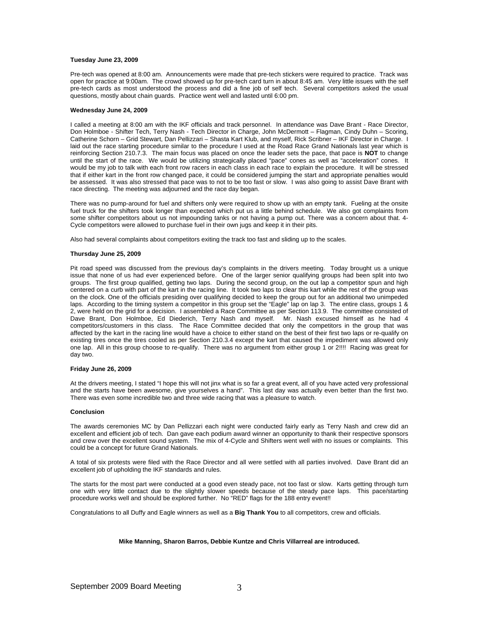#### **Tuesday June 23, 2009**

Pre-tech was opened at 8:00 am. Announcements were made that pre-tech stickers were required to practice. Track was open for practice at 9:00am. The crowd showed up for pre-tech card turn in about 8:45 am. Very little issues with the self pre-tech cards as most understood the process and did a fine job of self tech. Several competitors asked the usual questions, mostly about chain guards. Practice went well and lasted until 6:00 pm.

#### **Wednesday June 24, 2009**

I called a meeting at 8:00 am with the IKF officials and track personnel. In attendance was Dave Brant - Race Director, Don Holmboe - Shifter Tech, Terry Nash - Tech Director in Charge, John McDermott – Flagman, Cindy Duhn – Scoring, Catherine Schorn – Grid Stewart, Dan Pellizzari – Shasta Kart Klub, and myself, Rick Scribner – IKF Director in Charge. I laid out the race starting procedure similar to the procedure I used at the Road Race Grand Nationals last year which is reinforcing Section 210.7.3. The main focus was placed on once the leader sets the pace, that pace is **NOT** to change until the start of the race. We would be utilizing strategically placed "pace" cones as well as "acceleration" cones. It would be my job to talk with each front row racers in each class in each race to explain the procedure. It will be stressed that if either kart in the front row changed pace, it could be considered jumping the start and appropriate penalties would be assessed. It was also stressed that pace was to not to be too fast or slow. I was also going to assist Dave Brant with race directing. The meeting was adjourned and the race day began.

There was no pump-around for fuel and shifters only were required to show up with an empty tank. Fueling at the onsite fuel truck for the shifters took longer than expected which put us a little behind schedule. We also got complaints from some shifter competitors about us not impounding tanks or not having a pump out. There was a concern about that. 4- Cycle competitors were allowed to purchase fuel in their own jugs and keep it in their pits.

Also had several complaints about competitors exiting the track too fast and sliding up to the scales.

## **Thursday June 25, 2009**

Pit road speed was discussed from the previous day's complaints in the drivers meeting. Today brought us a unique issue that none of us had ever experienced before. One of the larger senior qualifying groups had been split into two groups. The first group qualified, getting two laps. During the second group, on the out lap a competitor spun and high centered on a curb with part of the kart in the racing line. It took two laps to clear this kart while the rest of the group was on the clock. One of the officials presiding over qualifying decided to keep the group out for an additional two unimpeded laps. According to the timing system a competitor in this group set the "Eagle" lap on lap 3. The entire class, groups 1 & 2, were held on the grid for a decision. I assembled a Race Committee as per Section 113.9. The committee consisted of Dave Brant, Don Holmboe, Ed Diederich, Terry Nash and myself. Mr. Nash excused himself as he had 4 competitors/customers in this class. The Race Committee decided that only the competitors in the group that was affected by the kart in the racing line would have a choice to either stand on the best of their first two laps or re-qualify on existing tires once the tires cooled as per Section 210.3.4 except the kart that caused the impediment was allowed only one lap. All in this group choose to re-qualify. There was no argument from either group 1 or 2!!!! Racing was great for day two.

## **Friday June 26, 2009**

At the drivers meeting, I stated "I hope this will not jinx what is so far a great event, all of you have acted very professional and the starts have been awesome, give yourselves a hand". This last day was actually even better than the first two. There was even some incredible two and three wide racing that was a pleasure to watch.

#### **Conclusion**

The awards ceremonies MC by Dan Pellizzari each night were conducted fairly early as Terry Nash and crew did an excellent and efficient job of tech. Dan gave each podium award winner an opportunity to thank their respective sponsors and crew over the excellent sound system. The mix of 4-Cycle and Shifters went well with no issues or complaints. This could be a concept for future Grand Nationals.

A total of six protests were filed with the Race Director and all were settled with all parties involved. Dave Brant did an excellent job of upholding the IKF standards and rules.

The starts for the most part were conducted at a good even steady pace, not too fast or slow. Karts getting through turn one with very little contact due to the slightly slower speeds because of the steady pace laps. This pace/starting procedure works well and should be explored further. No "RED" flags for the 188 entry event!!

Congratulations to all Duffy and Eagle winners as well as a **Big Thank You** to all competitors, crew and officials.

## **Mike Manning, Sharon Barros, Debbie Kuntze and Chris Villarreal are introduced.**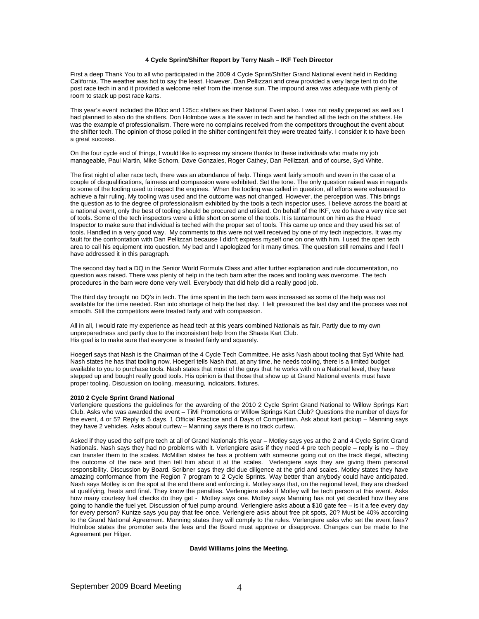## **4 Cycle Sprint/Shifter Report by Terry Nash – IKF Tech Director**

First a deep Thank You to all who participated in the 2009 4 Cycle Sprint/Shifter Grand National event held in Redding California. The weather was hot to say the least. However, Dan Pellizzari and crew provided a very large tent to do the post race tech in and it provided a welcome relief from the intense sun. The impound area was adequate with plenty of room to stack up post race karts.

This year's event included the 80cc and 125cc shifters as their National Event also. I was not really prepared as well as I had planned to also do the shifters. Don Holmboe was a life saver in tech and he handled all the tech on the shifters. He was the example of professionalism. There were no complains received from the competitors throughout the event about the shifter tech. The opinion of those polled in the shifter contingent felt they were treated fairly. I consider it to have been a great success.

On the four cycle end of things, I would like to express my sincere thanks to these individuals who made my job manageable, Paul Martin, Mike Schorn, Dave Gonzales, Roger Cathey, Dan Pellizzari, and of course, Syd White.

The first night of after race tech, there was an abundance of help. Things went fairly smooth and even in the case of a couple of disqualifications, fairness and compassion were exhibited. Set the tone. The only question raised was in regards to some of the tooling used to inspect the engines. When the tooling was called in question, all efforts were exhausted to achieve a fair ruling. My tooling was used and the outcome was not changed. However, the perception was. This brings the question as to the degree of professionalism exhibited by the tools a tech inspector uses. I believe across the board at a national event, only the best of tooling should be procured and utilized. On behalf of the IKF, we do have a very nice set of tools. Some of the tech inspectors were a little short on some of the tools. It is tantamount on him as the Head Inspector to make sure that individual is teched with the proper set of tools. This came up once and they used his set of tools. Handled in a very good way. My comments to this were not well received by one of my tech inspectors. It was my fault for the confrontation with Dan Pellizzari because I didn't express myself one on one with him. I used the open tech area to call his equipment into question. My bad and I apologized for it many times. The question still remains and I feel I have addressed it in this paragraph.

The second day had a DQ in the Senior World Formula Class and after further explanation and rule documentation, no question was raised. There was plenty of help in the tech barn after the races and tooling was overcome. The tech procedures in the barn were done very well. Everybody that did help did a really good job.

The third day brought no DQ's in tech. The time spent in the tech barn was increased as some of the help was not available for the time needed. Ran into shortage of help the last day. I felt pressured the last day and the process was not smooth. Still the competitors were treated fairly and with compassion.

All in all, I would rate my experience as head tech at this years combined Nationals as fair. Partly due to my own unpreparedness and partly due to the inconsistent help from the Shasta Kart Club. His goal is to make sure that everyone is treated fairly and squarely.

Hoegerl says that Nash is the Chairman of the 4 Cycle Tech Committee. He asks Nash about tooling that Syd White had. Nash states he has that tooling now. Hoegerl tells Nash that, at any time, he needs tooling, there is a limited budget available to you to purchase tools. Nash states that most of the guys that he works with on a National level, they have stepped up and bought really good tools. His opinion is that those that show up at Grand National events must have proper tooling. Discussion on tooling, measuring, indicators, fixtures.

## **2010 2 Cycle Sprint Grand National**

Verlengiere questions the guidelines for the awarding of the 2010 2 Cycle Sprint Grand National to Willow Springs Kart Club. Asks who was awarded the event – TiMi Promotions or Willow Springs Kart Club? Questions the number of days for the event, 4 or 5? Reply is 5 days. 1 Official Practice and 4 Days of Competition. Ask about kart pickup – Manning says they have 2 vehicles. Asks about curfew – Manning says there is no track curfew.

Asked if they used the self pre tech at all of Grand Nationals this year – Motley says yes at the 2 and 4 Cycle Sprint Grand Nationals. Nash says they had no problems with it. Verlengiere asks if they need 4 pre tech people – reply is no – they can transfer them to the scales. McMillan states he has a problem with someone going out on the track illegal, affecting the outcome of the race and then tell him about it at the scales. Verlengiere says they are giving them personal responsibility. Discussion by Board. Scribner says they did due diligence at the grid and scales. Motley states they have amazing conformance from the Region 7 program to 2 Cycle Sprints. Way better than anybody could have anticipated. Nash says Motley is on the spot at the end there and enforcing it. Motley says that, on the regional level, they are checked at qualifying, heats and final. They know the penalties. Verlengiere asks if Motley will be tech person at this event. Asks how many courtesy fuel checks do they get - Motley says one. Motley says Manning has not yet decided how they are going to handle the fuel yet. Discussion of fuel pump around. Verlengiere asks about a \$10 gate fee – is it a fee every day for every person? Kuntze says you pay that fee once. Verlengiere asks about free pit spots, 20? Must be 40% according to the Grand National Agreement. Manning states they will comply to the rules. Verlengiere asks who set the event fees? Holmboe states the promoter sets the fees and the Board must approve or disapprove. Changes can be made to the Agreement per Hilger.

#### **David Williams joins the Meeting.**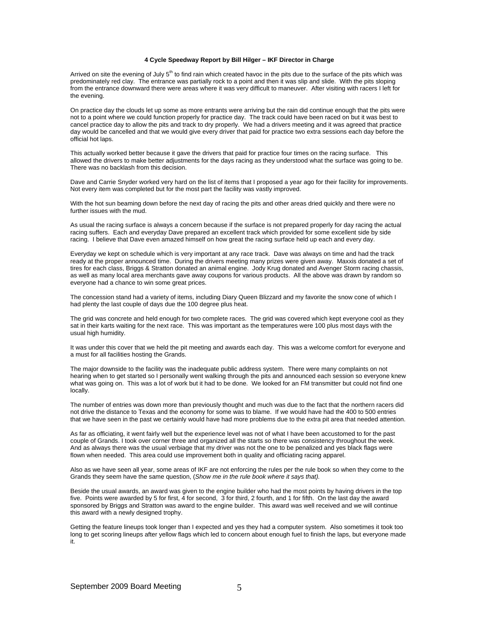## **4 Cycle Speedway Report by Bill Hilger – IKF Director in Charge**

Arrived on site the evening of July 5<sup>th</sup> to find rain which created havoc in the pits due to the surface of the pits which was predominately red clay. The entrance was partially rock to a point and then it was slip and slide. With the pits sloping from the entrance downward there were areas where it was very difficult to maneuver. After visiting with racers I left for the evening.

On practice day the clouds let up some as more entrants were arriving but the rain did continue enough that the pits were not to a point where we could function properly for practice day. The track could have been raced on but it was best to cancel practice day to allow the pits and track to dry properly. We had a drivers meeting and it was agreed that practice day would be cancelled and that we would give every driver that paid for practice two extra sessions each day before the official hot laps.

This actually worked better because it gave the drivers that paid for practice four times on the racing surface. This allowed the drivers to make better adjustments for the days racing as they understood what the surface was going to be. There was no backlash from this decision.

Dave and Carrie Snyder worked very hard on the list of items that I proposed a year ago for their facility for improvements. Not every item was completed but for the most part the facility was vastly improved.

With the hot sun beaming down before the next day of racing the pits and other areas dried quickly and there were no further issues with the mud.

As usual the racing surface is always a concern because if the surface is not prepared properly for day racing the actual racing suffers. Each and everyday Dave prepared an excellent track which provided for some excellent side by side racing. I believe that Dave even amazed himself on how great the racing surface held up each and every day.

Everyday we kept on schedule which is very important at any race track. Dave was always on time and had the track ready at the proper announced time. During the drivers meeting many prizes were given away. Maxxis donated a set of tires for each class, Briggs & Stratton donated an animal engine. Jody Krug donated and Avenger Storm racing chassis, as well as many local area merchants gave away coupons for various products. All the above was drawn by random so everyone had a chance to win some great prices.

The concession stand had a variety of items, including Diary Queen Blizzard and my favorite the snow cone of which I had plenty the last couple of days due the 100 degree plus heat.

The grid was concrete and held enough for two complete races. The grid was covered which kept everyone cool as they sat in their karts waiting for the next race. This was important as the temperatures were 100 plus most days with the usual high humidity.

It was under this cover that we held the pit meeting and awards each day. This was a welcome comfort for everyone and a must for all facilities hosting the Grands.

The major downside to the facility was the inadequate public address system. There were many complaints on not hearing when to get started so I personally went walking through the pits and announced each session so everyone knew what was going on. This was a lot of work but it had to be done. We looked for an FM transmitter but could not find one locally.

The number of entries was down more than previously thought and much was due to the fact that the northern racers did not drive the distance to Texas and the economy for some was to blame. If we would have had the 400 to 500 entries that we have seen in the past we certainly would have had more problems due to the extra pit area that needed attention.

As far as officiating, it went fairly well but the experience level was not of what I have been accustomed to for the past couple of Grands. I took over corner three and organized all the starts so there was consistency throughout the week. And as always there was the usual verbiage that my driver was not the one to be penalized and yes black flags were flown when needed. This area could use improvement both in quality and officiating racing apparel.

Also as we have seen all year, some areas of IKF are not enforcing the rules per the rule book so when they come to the Grands they seem have the same question, (*Show me in the rule book where it says that).* 

Beside the usual awards, an award was given to the engine builder who had the most points by having drivers in the top five. Points were awarded by 5 for first, 4 for second, 3 for third, 2 fourth, and 1 for fifth. On the last day the award sponsored by Briggs and Stratton was award to the engine builder. This award was well received and we will continue this award with a newly designed trophy.

Getting the feature lineups took longer than I expected and yes they had a computer system. Also sometimes it took too long to get scoring lineups after yellow flags which led to concern about enough fuel to finish the laps, but everyone made it.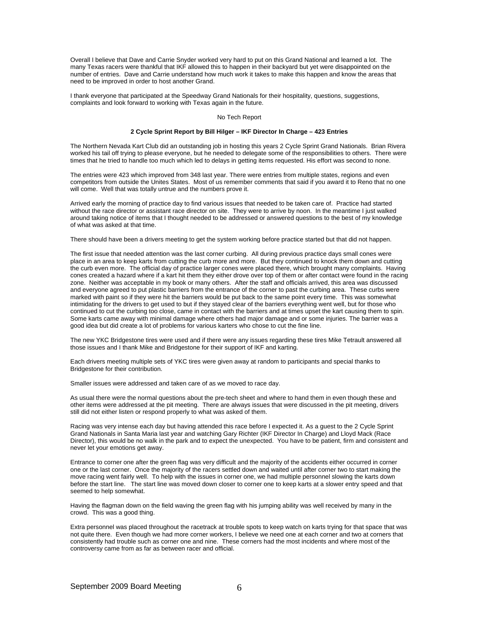Overall I believe that Dave and Carrie Snyder worked very hard to put on this Grand National and learned a lot. The many Texas racers were thankful that IKF allowed this to happen in their backyard but yet were disappointed on the number of entries. Dave and Carrie understand how much work it takes to make this happen and know the areas that need to be improved in order to host another Grand.

I thank everyone that participated at the Speedway Grand Nationals for their hospitality, questions, suggestions, complaints and look forward to working with Texas again in the future.

## No Tech Report

## **2 Cycle Sprint Report by Bill Hilger – IKF Director In Charge – 423 Entries**

The Northern Nevada Kart Club did an outstanding job in hosting this years 2 Cycle Sprint Grand Nationals. Brian Rivera worked his tail off trying to please everyone, but he needed to delegate some of the responsibilities to others. There were times that he tried to handle too much which led to delays in getting items requested. His effort was second to none.

The entries were 423 which improved from 348 last year. There were entries from multiple states, regions and even competitors from outside the Unites States. Most of us remember comments that said if you award it to Reno that no one will come. Well that was totally untrue and the numbers prove it.

Arrived early the morning of practice day to find various issues that needed to be taken care of. Practice had started without the race director or assistant race director on site. They were to arrive by noon. In the meantime I just walked around taking notice of items that I thought needed to be addressed or answered questions to the best of my knowledge of what was asked at that time.

There should have been a drivers meeting to get the system working before practice started but that did not happen.

The first issue that needed attention was the last corner curbing. All during previous practice days small cones were place in an area to keep karts from cutting the curb more and more. But they continued to knock them down and cutting the curb even more. The official day of practice larger cones were placed there, which brought many complaints. Having cones created a hazard where if a kart hit them they either drove over top of them or after contact were found in the racing zone. Neither was acceptable in my book or many others. After the staff and officials arrived, this area was discussed and everyone agreed to put plastic barriers from the entrance of the corner to past the curbing area. These curbs were marked with paint so if they were hit the barriers would be put back to the same point every time. This was somewhat intimidating for the drivers to get used to but if they stayed clear of the barriers everything went well, but for those who continued to cut the curbing too close, came in contact with the barriers and at times upset the kart causing them to spin. Some karts came away with minimal damage where others had major damage and or some injuries. The barrier was a good idea but did create a lot of problems for various karters who chose to cut the fine line.

The new YKC Bridgestone tires were used and if there were any issues regarding these tires Mike Tetrault answered all those issues and I thank Mike and Bridgestone for their support of IKF and karting.

Each drivers meeting multiple sets of YKC tires were given away at random to participants and special thanks to Bridgestone for their contribution.

Smaller issues were addressed and taken care of as we moved to race day.

As usual there were the normal questions about the pre-tech sheet and where to hand them in even though these and other items were addressed at the pit meeting. There are always issues that were discussed in the pit meeting, drivers still did not either listen or respond properly to what was asked of them.

Racing was very intense each day but having attended this race before I expected it. As a guest to the 2 Cycle Sprint Grand Nationals in Santa Maria last year and watching Gary Richter (IKF Director In Charge) and Lloyd Mack (Race Director), this would be no walk in the park and to expect the unexpected. You have to be patient, firm and consistent and never let your emotions get away.

Entrance to corner one after the green flag was very difficult and the majority of the accidents either occurred in corner one or the last corner. Once the majority of the racers settled down and waited until after corner two to start making the move racing went fairly well. To help with the issues in corner one, we had multiple personnel slowing the karts down before the start line. The start line was moved down closer to corner one to keep karts at a slower entry speed and that seemed to help somewhat.

Having the flagman down on the field waving the green flag with his jumping ability was well received by many in the crowd. This was a good thing.

Extra personnel was placed throughout the racetrack at trouble spots to keep watch on karts trying for that space that was not quite there. Even though we had more corner workers, I believe we need one at each corner and two at corners that consistently had trouble such as corner one and nine. These corners had the most incidents and where most of the controversy came from as far as between racer and official.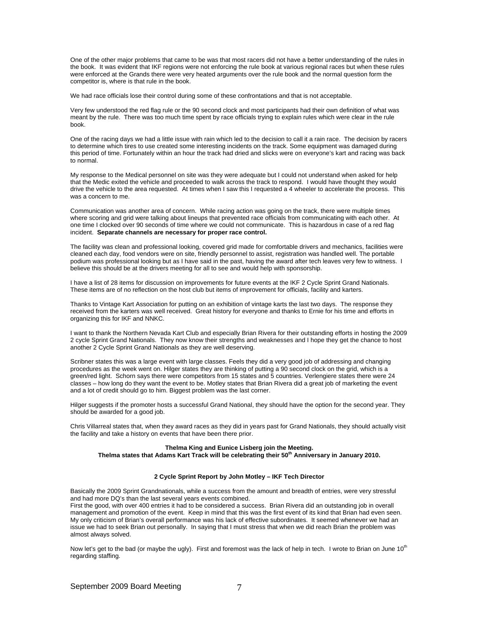One of the other major problems that came to be was that most racers did not have a better understanding of the rules in the book. It was evident that IKF regions were not enforcing the rule book at various regional races but when these rules were enforced at the Grands there were very heated arguments over the rule book and the normal question form the competitor is, where is that rule in the book.

We had race officials lose their control during some of these confrontations and that is not acceptable.

Very few understood the red flag rule or the 90 second clock and most participants had their own definition of what was meant by the rule. There was too much time spent by race officials trying to explain rules which were clear in the rule book.

One of the racing days we had a little issue with rain which led to the decision to call it a rain race. The decision by racers to determine which tires to use created some interesting incidents on the track. Some equipment was damaged during this period of time. Fortunately within an hour the track had dried and slicks were on everyone's kart and racing was back to normal.

My response to the Medical personnel on site was they were adequate but I could not understand when asked for help that the Medic exited the vehicle and proceeded to walk across the track to respond. I would have thought they would drive the vehicle to the area requested. At times when I saw this I requested a 4 wheeler to accelerate the process. This was a concern to me.

Communication was another area of concern. While racing action was going on the track, there were multiple times where scoring and grid were talking about lineups that prevented race officials from communicating with each other. At one time I clocked over 90 seconds of time where we could not communicate. This is hazardous in case of a red flag incident. **Separate channels are necessary for proper race control.** 

The facility was clean and professional looking, covered grid made for comfortable drivers and mechanics, facilities were cleaned each day, food vendors were on site, friendly personnel to assist, registration was handled well. The portable podium was professional looking but as I have said in the past, having the award after tech leaves very few to witness. I believe this should be at the drivers meeting for all to see and would help with sponsorship.

I have a list of 28 items for discussion on improvements for future events at the IKF 2 Cycle Sprint Grand Nationals. These items are of no reflection on the host club but items of improvement for officials, facility and karters.

Thanks to Vintage Kart Association for putting on an exhibition of vintage karts the last two days. The response they received from the karters was well received. Great history for everyone and thanks to Ernie for his time and efforts in organizing this for IKF and NNKC.

I want to thank the Northern Nevada Kart Club and especially Brian Rivera for their outstanding efforts in hosting the 2009 2 cycle Sprint Grand Nationals. They now know their strengths and weaknesses and I hope they get the chance to host another 2 Cycle Sprint Grand Nationals as they are well deserving.

Scribner states this was a large event with large classes. Feels they did a very good job of addressing and changing procedures as the week went on. Hilger states they are thinking of putting a 90 second clock on the grid, which is a green/red light. Schorn says there were competitors from 15 states and 5 countries. Verlengiere states there were 24 classes – how long do they want the event to be. Motley states that Brian Rivera did a great job of marketing the event and a lot of credit should go to him. Biggest problem was the last corner.

Hilger suggests if the promoter hosts a successful Grand National, they should have the option for the second year. They should be awarded for a good job.

Chris Villarreal states that, when they award races as they did in years past for Grand Nationals, they should actually visit the facility and take a history on events that have been there prior.

## **Thelma King and Eunice Lisberg join the Meeting. Thelma states that Adams Kart Track will be celebrating their 50th Anniversary in January 2010.**

## **2 Cycle Sprint Report by John Motley – IKF Tech Director**

Basically the 2009 Sprint Grandnationals, while a success from the amount and breadth of entries, were very stressful and had more DQ's than the last several years events combined.

First the good, with over 400 entries it had to be considered a success. Brian Rivera did an outstanding job in overall management and promotion of the event. Keep in mind that this was the first event of its kind that Brian had even seen. My only criticism of Brian's overall performance was his lack of effective subordinates. It seemed whenever we had an issue we had to seek Brian out personally. In saying that I must stress that when we did reach Brian the problem was almost always solved.

Now let's get to the bad (or maybe the ugly). First and foremost was the lack of help in tech. I wrote to Brian on June  $10<sup>th</sup>$ regarding staffing.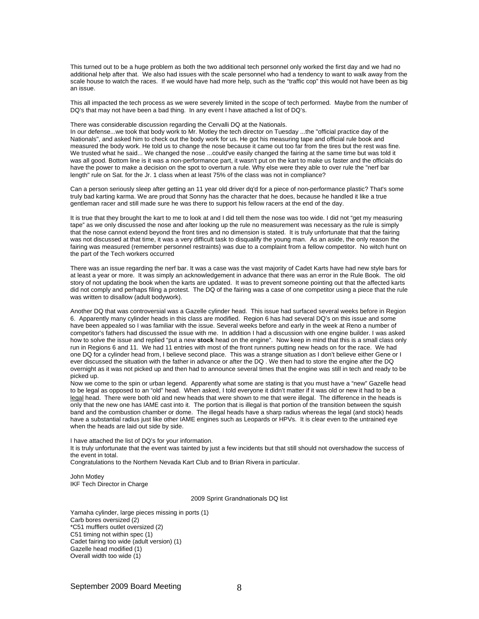This turned out to be a huge problem as both the two additional tech personnel only worked the first day and we had no additional help after that. We also had issues with the scale personnel who had a tendency to want to walk away from the scale house to watch the races. If we would have had more help, such as the "traffic cop" this would not have been as big an issue.

This all impacted the tech process as we were severely limited in the scope of tech performed. Maybe from the number of DQ's that may not have been a bad thing. In any event I have attached a list of DQ's.

There was considerable discussion regarding the Cervalli DQ at the Nationals.

In our defense...we took that body work to Mr. Motley the tech director on Tuesday ...the "official practice day of the Nationals", and asked him to check out the body work for us. He got his measuring tape and official rule book and measured the body work. He told us to change the nose because it came out too far from the tires but the rest was fine. We trusted what he said... We changed the nose ...could've easily changed the fairing at the same time but was told it was all good. Bottom line is it was a non-performance part, it wasn't put on the kart to make us faster and the officials do have the power to make a decision on the spot to overturn a rule. Why else were they able to over rule the "nerf bar length" rule on Sat. for the Jr. 1 class when at least 75% of the class was not in compliance?

Can a person seriously sleep after getting an 11 year old driver dq'd for a piece of non-performance plastic? That's some truly bad karting karma. We are proud that Sonny has the character that he does, because he handled it like a true gentleman racer and still made sure he was there to support his fellow racers at the end of the day.

It is true that they brought the kart to me to look at and I did tell them the nose was too wide. I did not "get my measuring tape" as we only discussed the nose and after looking up the rule no measurement was necessary as the rule is simply that the nose cannot extend beyond the front tires and no dimension is stated. It is truly unfortunate that that the fairing was not discussed at that time, it was a very difficult task to disqualify the young man. As an aside, the only reason the fairing was measured (remember personnel restraints) was due to a complaint from a fellow competitor. No witch hunt on the part of the Tech workers occurred

There was an issue regarding the nerf bar. It was a case was the vast majority of Cadet Karts have had new style bars for at least a year or more. It was simply an acknowledgement in advance that there was an error in the Rule Book. The old story of not updating the book when the karts are updated. It was to prevent someone pointing out that the affected karts did not comply and perhaps filing a protest. The DQ of the fairing was a case of one competitor using a piece that the rule was written to disallow (adult bodywork).

Another DQ that was controversial was a Gazelle cylinder head. This issue had surfaced several weeks before in Region 6. Apparently many cylinder heads in this class are modified. Region 6 has had several DQ's on this issue and some have been appealed so I was familiar with the issue. Several weeks before and early in the week at Reno a number of competitor's fathers had discussed the issue with me. In addition I had a discussion with one engine builder. I was asked how to solve the issue and replied "put a new **stock** head on the engine". Now keep in mind that this is a small class only run in Regions 6 and 11. We had 11 entries with most of the front runners putting new heads on for the race. We had one DQ for a cylinder head from, I believe second place. This was a strange situation as I don't believe either Gene or I ever discussed the situation with the father in advance or after the DQ . We then had to store the engine after the DQ overnight as it was not picked up and then had to announce several times that the engine was still in tech and ready to be picked up.

Now we come to the spin or urban legend. Apparently what some are stating is that you must have a "new" Gazelle head to be legal as opposed to an "old" head. When asked, I told everyone it didn't matter if it was old or new it had to be a legal head. There were both old and new heads that were shown to me that were illegal. The difference in the heads is only that the new one has IAME cast into it. The portion that is illegal is that portion of the transition between the squish band and the combustion chamber or dome. The illegal heads have a sharp radius whereas the legal (and stock) heads have a substantial radius just like other IAME engines such as Leopards or HPVs. It is clear even to the untrained eye when the heads are laid out side by side.

I have attached the list of DQ's for your information.

It is truly unfortunate that the event was tainted by just a few incidents but that still should not overshadow the success of the event in total.

Congratulations to the Northern Nevada Kart Club and to Brian Rivera in particular.

John Motley IKF Tech Director in Charge

2009 Sprint Grandnationals DQ list

Yamaha cylinder, large pieces missing in ports (1) Carb bores oversized (2) \*C51 mufflers outlet oversized (2) C51 timing not within spec (1) Cadet fairing too wide (adult version) (1) Gazelle head modified (1) Overall width too wide (1)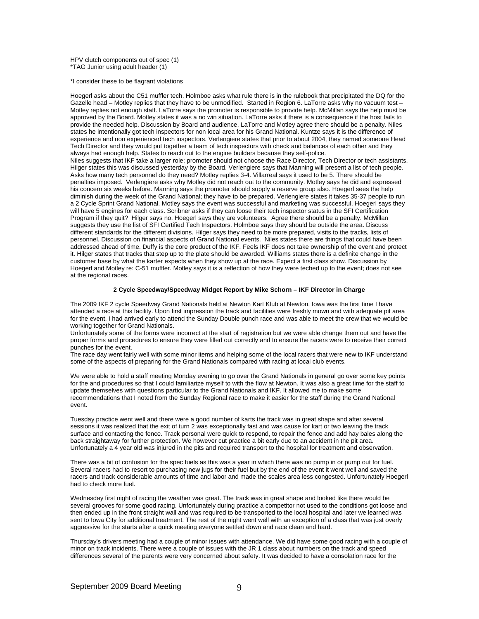HPV clutch components out of spec (1) \*TAG Junior using adult header (1)

\*I consider these to be flagrant violations

Hoegerl asks about the C51 muffler tech. Holmboe asks what rule there is in the rulebook that precipitated the DQ for the Gazelle head – Motley replies that they have to be unmodified. Started in Region 6. LaTorre asks why no vacuum test – Motley replies not enough staff. LaTorre says the promoter is responsible to provide help. McMillan says the help must be approved by the Board. Motley states it was a no win situation. LaTorre asks if there is a consequence if the host fails to provide the needed help. Discussion by Board and audience. LaTorre and Motley agree there should be a penalty. Niles states he intentionally got tech inspectors for non local area for his Grand National. Kuntze says it is the difference of experience and non experienced tech inspectors. Verlengiere states that prior to about 2004, they named someone Head Tech Director and they would put together a team of tech inspectors with check and balances of each other and they always had enough help. States to reach out to the engine builders because they self-police. Niles suggests that IKF take a larger role; promoter should not choose the Race Director, Tech Director or tech assistants. Hilger states this was discussed yesterday by the Board. Verlengiere says that Manning will present a list of tech people. Asks how many tech personnel do they need? Motley replies 3-4. Villarreal says it used to be 5. There should be penalties imposed. Verlengiere asks why Motley did not reach out to the community. Motley says he did and expressed his concern six weeks before. Manning says the promoter should supply a reserve group also. Hoegerl sees the help diminish during the week of the Grand National; they have to be prepared. Verlengiere states it takes 35-37 people to run a 2 Cycle Sprint Grand National. Motley says the event was successful and marketing was successful. Hoegerl says they will have 5 engines for each class. Scribner asks if they can loose their tech inspector status in the SFI Certification Program if they quit? Hilger says no. Hoegerl says they are volunteers. Agree there should be a penalty. McMillan suggests they use the list of SFI Certified Tech Inspectors. Holmboe says they should be outside the area. Discuss different standards for the different divisions. Hilger says they need to be more prepared, visits to the tracks, lists of personnel. Discussion on financial aspects of Grand National events. Niles states there are things that could have been addressed ahead of time. Duffy is the core product of the IKF. Feels IKF does not take ownership of the event and protect it. Hilger states that tracks that step up to the plate should be awarded. Williams states there is a definite change in the customer base by what the karter expects when they show up at the race. Expect a first class show. Discussion by Hoegerl and Motley re: C-51 muffler. Motley says it is a reflection of how they were teched up to the event; does not see at the regional races.

## **2 Cycle Speedway/Speedway Midget Report by Mike Schorn – IKF Director in Charge**

The 2009 IKF 2 cycle Speedway Grand Nationals held at Newton Kart Klub at Newton, Iowa was the first time I have attended a race at this facility. Upon first impression the track and facilities were freshly mown and with adequate pit area for the event. I had arrived early to attend the Sunday Double punch race and was able to meet the crew that we would be working together for Grand Nationals.

Unfortunately some of the forms were incorrect at the start of registration but we were able change them out and have the proper forms and procedures to ensure they were filled out correctly and to ensure the racers were to receive their correct punches for the event.

The race day went fairly well with some minor items and helping some of the local racers that were new to IKF understand some of the aspects of preparing for the Grand Nationals compared with racing at local club events.

We were able to hold a staff meeting Monday evening to go over the Grand Nationals in general go over some key points for the and procedures so that I could familiarize myself to with the flow at Newton. It was also a great time for the staff to update themselves with questions particular to the Grand Nationals and IKF. It allowed me to make some recommendations that I noted from the Sunday Regional race to make it easier for the staff during the Grand National event.

Tuesday practice went well and there were a good number of karts the track was in great shape and after several sessions it was realized that the exit of turn 2 was exceptionally fast and was cause for kart or two leaving the track surface and contacting the fence. Track personal were quick to respond, to repair the fence and add hay bales along the back straightaway for further protection. We however cut practice a bit early due to an accident in the pit area. Unfortunately a 4 year old was injured in the pits and required transport to the hospital for treatment and observation.

There was a bit of confusion for the spec fuels as this was a year in which there was no pump in or pump out for fuel. Several racers had to resort to purchasing new jugs for their fuel but by the end of the event it went well and saved the racers and track considerable amounts of time and labor and made the scales area less congested. Unfortunately Hoegerl had to check more fuel.

Wednesday first night of racing the weather was great. The track was in great shape and looked like there would be several grooves for some good racing. Unfortunately during practice a competitor not used to the conditions got loose and then ended up in the front straight wall and was required to be transported to the local hospital and later we learned was sent to Iowa City for additional treatment. The rest of the night went well with an exception of a class that was just overly aggressive for the starts after a quick meeting everyone settled down and race clean and hard.

Thursday's drivers meeting had a couple of minor issues with attendance. We did have some good racing with a couple of minor on track incidents. There were a couple of issues with the JR 1 class about numbers on the track and speed differences several of the parents were very concerned about safety. It was decided to have a consolation race for the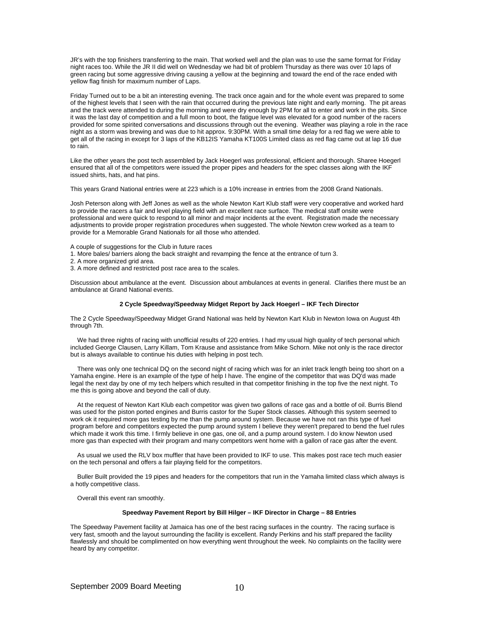JR's with the top finishers transferring to the main. That worked well and the plan was to use the same format for Friday night races too. While the JR II did well on Wednesday we had bit of problem Thursday as there was over 10 laps of green racing but some aggressive driving causing a yellow at the beginning and toward the end of the race ended with yellow flag finish for maximum number of Laps.

Friday Turned out to be a bit an interesting evening. The track once again and for the whole event was prepared to some of the highest levels that I seen with the rain that occurred during the previous late night and early morning. The pit areas and the track were attended to during the morning and were dry enough by 2PM for all to enter and work in the pits. Since it was the last day of competition and a full moon to boot, the fatigue level was elevated for a good number of the racers provided for some spirited conversations and discussions through out the evening. Weather was playing a role in the race night as a storm was brewing and was due to hit approx. 9:30PM. With a small time delay for a red flag we were able to get all of the racing in except for 3 laps of the KB12IS Yamaha KT100S Limited class as red flag came out at lap 16 due to rain.

Like the other years the post tech assembled by Jack Hoegerl was professional, efficient and thorough. Sharee Hoegerl ensured that all of the competitors were issued the proper pipes and headers for the spec classes along with the IKF issued shirts, hats, and hat pins.

This years Grand National entries were at 223 which is a 10% increase in entries from the 2008 Grand Nationals.

Josh Peterson along with Jeff Jones as well as the whole Newton Kart Klub staff were very cooperative and worked hard to provide the racers a fair and level playing field with an excellent race surface. The medical staff onsite were professional and were quick to respond to all minor and major incidents at the event. Registration made the necessary adjustments to provide proper registration procedures when suggested. The whole Newton crew worked as a team to provide for a Memorable Grand Nationals for all those who attended.

A couple of suggestions for the Club in future races

1. More bales/ barriers along the back straight and revamping the fence at the entrance of turn 3.

- 2. A more organized grid area.
- 3. A more defined and restricted post race area to the scales.

Discussion about ambulance at the event. Discussion about ambulances at events in general. Clarifies there must be an ambulance at Grand National events.

## **2 Cycle Speedway/Speedway Midget Report by Jack Hoegerl – IKF Tech Director**

The 2 Cycle Speedway/Speedway Midget Grand National was held by Newton Kart Klub in Newton Iowa on August 4th through 7th.

 We had three nights of racing with unofficial results of 220 entries. I had my usual high quality of tech personal which included George Clausen, Larry Killam, Tom Krause and assistance from Mike Schorn. Mike not only is the race director but is always available to continue his duties with helping in post tech.

 There was only one technical DQ on the second night of racing which was for an inlet track length being too short on a Yamaha engine. Here is an example of the type of help I have. The engine of the competitor that was DQ'd was made legal the next day by one of my tech helpers which resulted in that competitor finishing in the top five the next night. To me this is going above and beyond the call of duty.

 At the request of Newton Kart Klub each competitor was given two gallons of race gas and a bottle of oil. Burris Blend was used for the piston ported engines and Burris castor for the Super Stock classes. Although this system seemed to work ok it required more gas testing by me than the pump around system. Because we have not ran this type of fuel program before and competitors expected the pump around system I believe they weren't prepared to bend the fuel rules which made it work this time. I firmly believe in one gas, one oil, and a pump around system. I do know Newton used more gas than expected with their program and many competitors went home with a gallon of race gas after the event.

 As usual we used the RLV box muffler that have been provided to IKF to use. This makes post race tech much easier on the tech personal and offers a fair playing field for the competitors.

 Buller Built provided the 19 pipes and headers for the competitors that run in the Yamaha limited class which always is a hotly competitive class.

Overall this event ran smoothly.

# **Speedway Pavement Report by Bill Hilger – IKF Director in Charge – 88 Entries**

The Speedway Pavement facility at Jamaica has one of the best racing surfaces in the country. The racing surface is very fast, smooth and the layout surrounding the facility is excellent. Randy Perkins and his staff prepared the facility flawlessly and should be complimented on how everything went throughout the week. No complaints on the facility were heard by any competitor.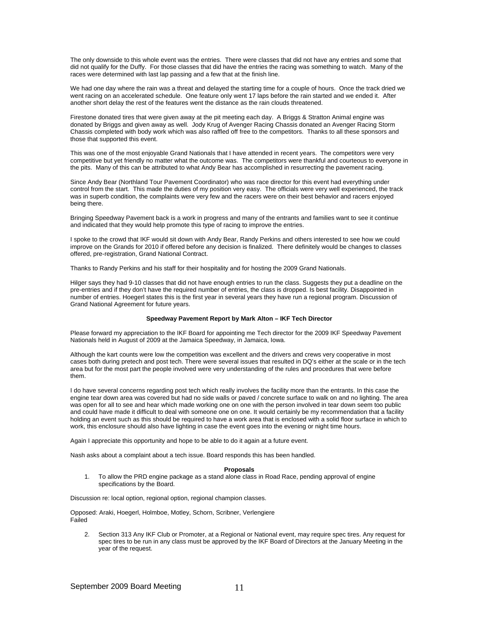The only downside to this whole event was the entries. There were classes that did not have any entries and some that did not qualify for the Duffy. For those classes that did have the entries the racing was something to watch. Many of the races were determined with last lap passing and a few that at the finish line.

We had one day where the rain was a threat and delayed the starting time for a couple of hours. Once the track dried we went racing on an accelerated schedule. One feature only went 17 laps before the rain started and we ended it. After another short delay the rest of the features went the distance as the rain clouds threatened.

Firestone donated tires that were given away at the pit meeting each day. A Briggs & Stratton Animal engine was donated by Briggs and given away as well. Jody Krug of Avenger Racing Chassis donated an Avenger Racing Storm Chassis completed with body work which was also raffled off free to the competitors. Thanks to all these sponsors and those that supported this event.

This was one of the most enjoyable Grand Nationals that I have attended in recent years. The competitors were very competitive but yet friendly no matter what the outcome was. The competitors were thankful and courteous to everyone in the pits. Many of this can be attributed to what Andy Bear has accomplished in resurrecting the pavement racing.

Since Andy Bear (Northland Tour Pavement Coordinator) who was race director for this event had everything under control from the start. This made the duties of my position very easy. The officials were very well experienced, the track was in superb condition, the complaints were very few and the racers were on their best behavior and racers enjoyed being there.

Bringing Speedway Pavement back is a work in progress and many of the entrants and families want to see it continue and indicated that they would help promote this type of racing to improve the entries.

I spoke to the crowd that IKF would sit down with Andy Bear, Randy Perkins and others interested to see how we could improve on the Grands for 2010 if offered before any decision is finalized. There definitely would be changes to classes offered, pre-registration, Grand National Contract.

Thanks to Randy Perkins and his staff for their hospitality and for hosting the 2009 Grand Nationals.

Hilger says they had 9-10 classes that did not have enough entries to run the class. Suggests they put a deadline on the pre-entries and if they don't have the required number of entries, the class is dropped. Is best facility. Disappointed in number of entries. Hoegerl states this is the first year in several years they have run a regional program. Discussion of Grand National Agreement for future years.

## **Speedway Pavement Report by Mark Alton – IKF Tech Director**

Please forward my appreciation to the IKF Board for appointing me Tech director for the 2009 IKF Speedway Pavement Nationals held in August of 2009 at the Jamaica Speedway, in Jamaica, Iowa.

Although the kart counts were low the competition was excellent and the drivers and crews very cooperative in most cases both during pretech and post tech. There were several issues that resulted in DQ's either at the scale or in the tech area but for the most part the people involved were very understanding of the rules and procedures that were before them.

I do have several concerns regarding post tech which really involves the facility more than the entrants. In this case the engine tear down area was covered but had no side walls or paved / concrete surface to walk on and no lighting. The area was open for all to see and hear which made working one on one with the person involved in tear down seem too public and could have made it difficult to deal with someone one on one. It would certainly be my recommendation that a facility holding an event such as this should be required to have a work area that is enclosed with a solid floor surface in which to work, this enclosure should also have lighting in case the event goes into the evening or night time hours.

Again I appreciate this opportunity and hope to be able to do it again at a future event.

Nash asks about a complaint about a tech issue. Board responds this has been handled.

## **Proposals**

1. To allow the PRD engine package as a stand alone class in Road Race, pending approval of engine specifications by the Board.

Discussion re: local option, regional option, regional champion classes.

Opposed: Araki, Hoegerl, Holmboe, Motley, Schorn, Scribner, Verlengiere Failed

2. Section 313 Any IKF Club or Promoter, at a Regional or National event, may require spec tires. Any request for spec tires to be run in any class must be approved by the IKF Board of Directors at the January Meeting in the year of the request.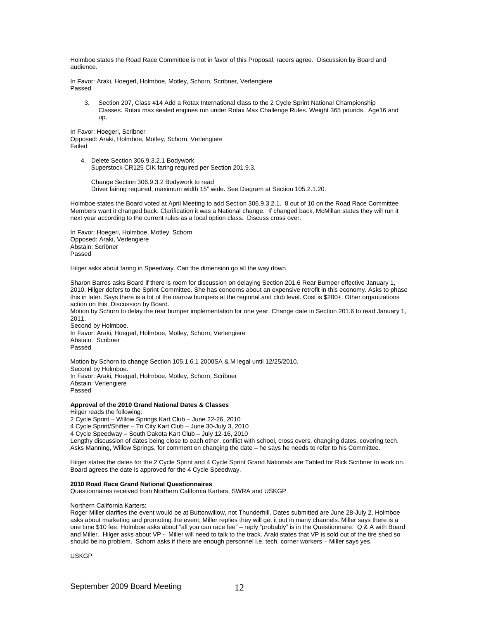Holmboe states the Road Race Committee is not in favor of this Proposal; racers agree. Discussion by Board and audience.

In Favor: Araki, Hoegerl, Holmboe, Motley, Schorn, Scribner, Verlengiere Passed

3. Section 207, Class #14 Add a Rotax International class to the 2 Cycle Sprint National Championship Classes. Rotax max sealed engines run under Rotax Max Challenge Rules. Weight 365 pounds. Age16 and up.

In Favor: Hoegerl, Scribner Opposed: Araki, Holmboe, Motley, Schorn, Verlengiere Failed

 4. Delete Section 306.9.3.2.1 Bodywork Superstock CR125 CIK faring required per Section 201.9.3.

 Change Section 306.9.3.2 Bodywork to read Driver fairing required, maximum width 15" wide. See Diagram at Section 105.2.1.20.

Holmboe states the Board voted at April Meeting to add Section 306.9.3.2.1. 8 out of 10 on the Road Race Committee Members want it changed back. Clarification it was a National change. If changed back, McMillan states they will run it next year according to the current rules as a local option class. Discuss cross over.

In Favor: Hoegerl, Holmboe, Motley, Schorn Opposed: Araki, Verlengiere Abstain: Scribner Passed

Hilger asks about faring in Speedway. Can the dimension go all the way down.

Sharon Barros asks Board if there is room for discussion on delaying Section 201.6 Rear Bumper effective January 1, 2010. Hilger defers to the Sprint Committee. She has concerns about an expensive retrofit in this economy. Asks to phase this in later. Says there is a lot of the narrow bumpers at the regional and club level. Cost is \$200+. Other organizations action on this. Discussion by Board.

Motion by Schorn to delay the rear bumper implementation for one year. Change date in Section 201.6 to read January 1, 2011.

Second by Holmboe. In Favor: Araki, Hoegerl, Holmboe, Motley, Schorn, Verlengiere Abstain: Scribner Passed

Motion by Schorn to change Section 105.1.6.1 2000SA & M legal until 12/25/2010. Second by Holmboe. In Favor: Araki, Hoegerl, Holmboe, Motley, Schorn, Scribner Abstain: Verlengiere Passed

## **Approval of the 2010 Grand National Dates & Classes**

Hilger reads the following: 2 Cycle Sprint – Willow Springs Kart Club – June 22-26, 2010 4 Cycle Sprint/Shifter – Tri City Kart Club – June 30-July 3, 2010 4 Cycle Speedway – South Dakota Kart Club – July 12-16, 2010 Lengthy discussion of dates being close to each other, conflict with school, cross overs, changing dates, covering tech. Asks Manning, Willow Springs, for comment on changing the date – he says he needs to refer to his Committee.

Hilger states the dates for the 2 Cycle Sprint and 4 Cycle Sprint Grand Nationals are Tabled for Rick Scribner to work on. Board agrees the date is approved for the 4 Cycle Speedway.

## **2010 Road Race Grand National Questionnaires**

Questionnaires received from Northern California Karters, SWRA and USKGP.

Northern California Karters:

Roger Miller clarifies the event would be at Buttonwillow, not Thunderhill. Dates submitted are June 28-July 2. Holmboe asks about marketing and promoting the event; Miller replies they will get it out in many channels. Miller says there is a one time \$10 fee. Holmboe asks about "all you can race fee" – reply "probably" is in the Questionnaire. Q & A with Board and Miller. Hilger asks about VP - Miller will need to talk to the track. Araki states that VP is sold out of the tire shed so should be no problem. Schorn asks if there are enough personnel i.e. tech, corner workers – Miller says yes.

USKGP: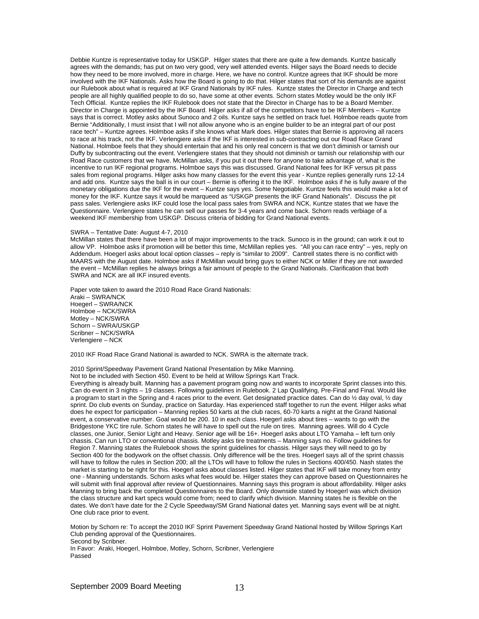Debbie Kuntze is representative today for USKGP. Hilger states that there are quite a few demands. Kuntze basically agrees with the demands; has put on two very good, very well attended events. Hilger says the Board needs to decide how they need to be more involved, more in charge. Here, we have no control. Kuntze agrees that IKF should be more involved with the IKF Nationals. Asks how the Board is going to do that. Hilger states that sort of his demands are against our Rulebook about what is required at IKF Grand Nationals by IKF rules. Kuntze states the Director in Charge and tech people are all highly qualified people to do so, have some at other events. Schorn states Motley would be the only IKF Tech Official. Kuntze replies the IKF Rulebook does not state that the Director in Charge has to be a Board Member. Director in Charge is appointed by the IKF Board. Hilger asks if all of the competitors have to be IKF Members – Kuntze says that is correct. Motley asks about Sunoco and 2 oils. Kuntze says he settled on track fuel. Holmboe reads quote from Bernie "Additionally, I must insist that I will not allow anyone who is an engine builder to be an integral part of our post race tech" – Kuntze agrees. Holmboe asks if she knows what Mark does. Hilger states that Bernie is approving all racers to race at his track, not the IKF. Verlengiere asks if the IKF is interested in sub-contracting out our Road Race Grand National. Holmboe feels that they should entertain that and his only real concern is that we don't diminish or tarnish our Duffy by subcontracting out the event. Verlengiere states that they should not diminish or tarnish our relationship with our Road Race customers that we have. McMillan asks, if you put it out there for anyone to take advantage of, what is the incentive to run IKF regional programs. Holmboe says this was discussed. Grand National fees for IKF versus pit pass sales from regional programs. Hilger asks how many classes for the event this year - Kuntze replies generally runs 12-14 and add ons. Kuntze says the ball is in our court – Bernie is offering it to the IKF. Holmboe asks if he is fully aware of the monetary obligations due the IKF for the event – Kuntze says yes. Some Negotiable. Kuntze feels this would make a lot of money for the IKF. Kuntze says it would be marqueed as "USKGP presents the IKF Grand Nationals". Discuss the pit pass sales. Verlengiere asks IKF could lose the local pass sales from SWRA and NCK. Kuntze states that we have the Questionnaire. Verlengiere states he can sell our passes for 3-4 years and come back. Schorn reads verbiage of a weekend IKF membership from USKGP. Discuss criteria of bidding for Grand National events.

#### SWRA – Tentative Date: August 4-7, 2010

McMillan states that there have been a lot of major improvements to the track. Sunoco is in the ground; can work it out to allow VP. Holmboe asks if promotion will be better this time, McMillan replies yes. "All you can race entry" – yes, reply on Addendum. Hoegerl asks about local option classes – reply is "similar to 2009". Cantrell states there is no conflict with MAARS with the August date. Holmboe asks if McMillan would bring guys to either NCK or Miller if they are not awarded the event – McMillan replies he always brings a fair amount of people to the Grand Nationals. Clarification that both SWRA and NCK are all IKF insured events.

Paper vote taken to award the 2010 Road Race Grand Nationals: Araki – SWRA/NCK Hoegerl – SWRA/NCK Holmboe – NCK/SWRA Motley – NCK/SWRA Schorn – SWRA/USKGP Scribner – NCK/SWRA Verlengiere – NCK

2010 IKF Road Race Grand National is awarded to NCK. SWRA is the alternate track.

2010 Sprint/Speedway Pavement Grand National Presentation by Mike Manning.

Not to be included with Section 450. Event to be held at Willow Springs Kart Track.

Everything is already built. Manning has a pavement program going now and wants to incorporate Sprint classes into this. Can do event in 3 nights – 19 classes. Following guidelines in Rulebook. 2 Lap Qualifying, Pre-Final and Final. Would like a program to start in the Spring and 4 races prior to the event. Get designated practice dates. Can do ½ day oval, ½ day sprint. Do club events on Sunday, practice on Saturday. Has experienced staff together to run the event. Hilger asks what does he expect for participation – Manning replies 50 karts at the club races, 60-70 karts a night at the Grand National event, a conservative number. Goal would be 200. 10 in each class. Hoegerl asks about tires – wants to go with the Bridgestone YKC tire rule. Schorn states he will have to spell out the rule on tires. Manning agrees. Will do 4 Cycle classes, one Junior, Senior Light and Heavy. Senior age will be 16+. Hoegerl asks about LTO Yamaha – left turn only chassis. Can run LTO or conventional chassis. Motley asks tire treatments – Manning says no. Follow guidelines for Region 7. Manning states the Rulebook shows the sprint guidelines for chassis. Hilger says they will need to go by Section 400 for the bodywork on the offset chassis. Only difference will be the tires. Hoegerl says all of the sprint chassis will have to follow the rules in Section 200; all the LTOs will have to follow the rules in Sections 400/450. Nash states the market is starting to be right for this. Hoegerl asks about classes listed. Hilger states that IKF will take money from entry one - Manning understands. Schorn asks what fees would be. Hilger states they can approve based on Questionnaires he will submit with final approval after review of Questionnaires. Manning says this program is about affordability. Hilger asks Manning to bring back the completed Questionnaires to the Board. Only downside stated by Hoegerl was which division the class structure and kart specs would come from; need to clarify which division. Manning states he is flexible on the dates. We don't have date for the 2 Cycle Speedway/SM Grand National dates yet. Manning says event will be at night. One club race prior to event.

Motion by Schorn re: To accept the 2010 IKF Sprint Pavement Speedway Grand National hosted by Willow Springs Kart Club pending approval of the Questionnaires. Second by Scribner.

In Favor: Araki, Hoegerl, Holmboe, Motley, Schorn, Scribner, Verlengiere Passed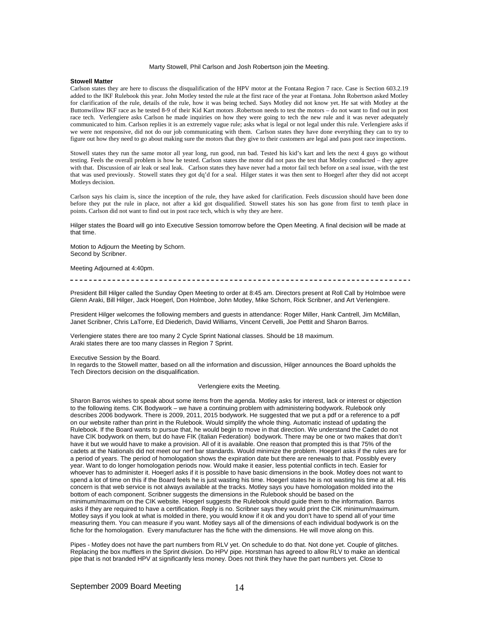## Marty Stowell, Phil Carlson and Josh Robertson join the Meeting.

## **Stowell Matter**

Carlson states they are here to discuss the disqualification of the HPV motor at the Fontana Region 7 race. Case is Section 603.2.19 added to the IKF Rulebook this year. John Motley tested the rule at the first race of the year at Fontana. John Robertson asked Motley for clarification of the rule, details of the rule, how it was being teched. Says Motley did not know yet. He sat with Motley at the Buttonwillow IKF race as he tested 8-9 of their Kid Kart motors .Robertson needs to test the motors – do not want to find out in post race tech. Verlengiere asks Carlson he made inquiries on how they were going to tech the new rule and it was never adequately communicated to him. Carlson replies it is an extremely vague rule; asks what is legal or not legal under this rule. Verlengiere asks if we were not responsive, did not do our job communicating with them. Carlson states they have done everything they can to try to figure out how they need to go about making sure the motors that they give to their customers are legal and pass post race inspections.

Stowell states they run the same motor all year long, run good, run bad. Tested his kid's kart and lets the next 4 guys go without testing. Feels the overall problem is how he tested. Carlson states the motor did not pass the test that Motley conducted – they agree with that. Discussion of air leak or seal leak. Carlson states they have never had a motor fail tech before on a seal issue, with the test that was used previously. Stowell states they got dq'd for a seal. Hilger states it was then sent to Hoegerl after they did not accept Motleys decision.

Carlson says his claim is, since the inception of the rule, they have asked for clarification. Feels discussion should have been done before they put the rule in place, not after a kid got disqualified. Stowell states his son has gone from first to tenth place in points. Carlson did not want to find out in post race tech, which is why they are here.

Hilger states the Board will go into Executive Session tomorrow before the Open Meeting. A final decision will be made at that time.

Motion to Adjourn the Meeting by Schorn. Second by Scribner.

Meeting Adjourned at 4:40pm.

#### 

President Bill Hilger called the Sunday Open Meeting to order at 8:45 am. Directors present at Roll Call by Holmboe were Glenn Araki, Bill Hilger, Jack Hoegerl, Don Holmboe, John Motley, Mike Schorn, Rick Scribner, and Art Verlengiere.

President Hilger welcomes the following members and guests in attendance: Roger Miller, Hank Cantrell, Jim McMillan, Janet Scribner, Chris LaTorre, Ed Diederich, David Williams, Vincent Cervelli, Joe Pettit and Sharon Barros.

Verlengiere states there are too many 2 Cycle Sprint National classes. Should be 18 maximum. Araki states there are too many classes in Region 7 Sprint.

Executive Session by the Board.

In regards to the Stowell matter, based on all the information and discussion, Hilger announces the Board upholds the Tech Directors decision on the disqualification.

## Verlengiere exits the Meeting.

Sharon Barros wishes to speak about some items from the agenda. Motley asks for interest, lack or interest or objection to the following items. CIK Bodywork – we have a continuing problem with administering bodywork. Rulebook only describes 2006 bodywork. There is 2009, 2011, 2015 bodywork. He suggested that we put a pdf or a reference to a pdf on our website rather than print in the Rulebook. Would simplify the whole thing. Automatic instead of updating the Rulebook. If the Board wants to pursue that, he would begin to move in that direction. We understand the Cadet do not have CIK bodywork on them, but do have FIK (Italian Federation) bodywork. There may be one or two makes that don't have it but we would have to make a provision. All of it is available. One reason that prompted this is that 75% of the cadets at the Nationals did not meet our nerf bar standards. Would minimize the problem. Hoegerl asks if the rules are for a period of years. The period of homologation shows the expiration date but there are renewals to that. Possibly every year. Want to do longer homologation periods now. Would make it easier, less potential conflicts in tech. Easier for whoever has to administer it. Hoegerl asks if it is possible to have basic dimensions in the book. Motley does not want to spend a lot of time on this if the Board feels he is just wasting his time. Hoegerl states he is not wasting his time at all. His concern is that web service is not always available at the tracks. Motley says you have homologation molded into the bottom of each component. Scribner suggests the dimensions in the Rulebook should be based on the minimum/maximum on the CIK website. Hoegerl suggests the Rulebook should guide them to the information. Barros asks if they are required to have a certification. Reply is no. Scribner says they would print the CIK minimum/maximum. Motley says if you look at what is molded in there, you would know if it ok and you don't have to spend all of your time measuring them. You can measure if you want. Motley says all of the dimensions of each individual bodywork is on the fiche for the homologation. Every manufacturer has the fiche with the dimensions. He will move along on this.

Pipes - Motley does not have the part numbers from RLV yet. On schedule to do that. Not done yet. Couple of glitches. Replacing the box mufflers in the Sprint division. Do HPV pipe. Horstman has agreed to allow RLV to make an identical pipe that is not branded HPV at significantly less money. Does not think they have the part numbers yet. Close to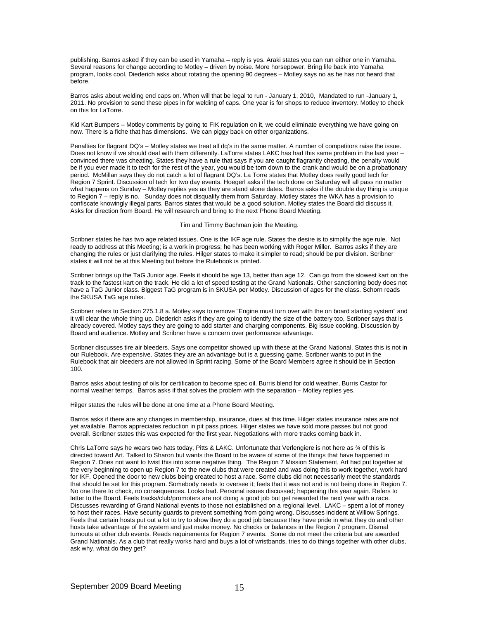publishing. Barros asked if they can be used in Yamaha – reply is yes. Araki states you can run either one in Yamaha. Several reasons for change according to Motley – driven by noise. More horsepower. Bring life back into Yamaha program, looks cool. Diederich asks about rotating the opening 90 degrees – Motley says no as he has not heard that before.

Barros asks about welding end caps on. When will that be legal to run - January 1, 2010, Mandated to run -January 1, 2011. No provision to send these pipes in for welding of caps. One year is for shops to reduce inventory. Motley to check on this for LaTorre.

Kid Kart Bumpers – Motley comments by going to FIK regulation on it, we could eliminate everything we have going on now. There is a fiche that has dimensions. We can piggy back on other organizations.

Penalties for flagrant DQ's – Motley states we treat all dq's in the same matter. A number of competitors raise the issue. Does not know if we should deal with them differently. LaTorre states LAKC has had this same problem in the last year – convinced there was cheating. States they have a rule that says if you are caught flagrantly cheating, the penalty would be if you ever made it to tech for the rest of the year, you would be torn down to the crank and would be on a probationary period. McMillan says they do not catch a lot of flagrant DQ's. La Torre states that Motley does really good tech for Region 7 Sprint. Discussion of tech for two day events. Hoegerl asks if the tech done on Saturday will all pass no matter what happens on Sunday – Motley replies yes as they are stand alone dates. Barros asks if the double day thing is unique to Region 7 – reply is no. Sunday does not disqualify them from Saturday. Motley states the WKA has a provision to confiscate knowingly illegal parts. Barros states that would be a good solution. Motley states the Board did discuss it. Asks for direction from Board. He will research and bring to the next Phone Board Meeting.

#### Tim and Timmy Bachman join the Meeting.

Scribner states he has two age related issues. One is the IKF age rule. States the desire is to simplify the age rule. Not ready to address at this Meeting; is a work in progress; he has been working with Roger Miller. Barros asks if they are changing the rules or just clarifying the rules. Hilger states to make it simpler to read; should be per division. Scribner states it will not be at this Meeting but before the Rulebook is printed.

Scribner brings up the TaG Junior age. Feels it should be age 13, better than age 12. Can go from the slowest kart on the track to the fastest kart on the track. He did a lot of speed testing at the Grand Nationals. Other sanctioning body does not have a TaG Junior class. Biggest TaG program is in SKUSA per Motley. Discussion of ages for the class. Schorn reads the SKUSA TaG age rules.

Scribner refers to Section 275.1.8 a. Motley says to remove "Engine must turn over with the on board starting system" and it will clear the whole thing up. Diederich asks if they are going to identify the size of the battery too, Scribner says that is already covered. Motley says they are going to add starter and charging components. Big issue cooking. Discussion by Board and audience. Motley and Scribner have a concern over performance advantage.

Scribner discusses tire air bleeders. Says one competitor showed up with these at the Grand National. States this is not in our Rulebook. Are expensive. States they are an advantage but is a guessing game. Scribner wants to put in the Rulebook that air bleeders are not allowed in Sprint racing. Some of the Board Members agree it should be in Section 100.

Barros asks about testing of oils for certification to become spec oil. Burris blend for cold weather, Burris Castor for normal weather temps. Barros asks if that solves the problem with the separation – Motley replies yes.

Hilger states the rules will be done at one time at a Phone Board Meeting.

Barros asks if there are any changes in membership, insurance, dues at this time. Hilger states insurance rates are not yet available. Barros appreciates reduction in pit pass prices. Hilger states we have sold more passes but not good overall. Scribner states this was expected for the first year. Negotiations with more tracks coming back in.

Chris LaTorre says he wears two hats today, Pitts & LAKC. Unfortunate that Verlengiere is not here as ¾ of this is directed toward Art. Talked to Sharon but wants the Board to be aware of some of the things that have happened in Region 7. Does not want to twist this into some negative thing. The Region 7 Mission Statement, Art had put together at the very beginning to open up Region 7 to the new clubs that were created and was doing this to work together, work hard for IKF. Opened the door to new clubs being created to host a race. Some clubs did not necessarily meet the standards that should be set for this program. Somebody needs to oversee it; feels that it was not and is not being done in Region 7. No one there to check, no consequences. Looks bad. Personal issues discussed; happening this year again. Refers to letter to the Board. Feels tracks/club/promoters are not doing a good job but get rewarded the next year with a race. Discusses rewarding of Grand National events to those not established on a regional level. LAKC – spent a lot of money to host their races. Have security guards to prevent something from going wrong. Discusses incident at Willow Springs. Feels that certain hosts put out a lot to try to show they do a good job because they have pride in what they do and other hosts take advantage of the system and just make money. No checks or balances in the Region 7 program. Dismal turnouts at other club events. Reads requirements for Region 7 events. Some do not meet the criteria but are awarded Grand Nationals. As a club that really works hard and buys a lot of wristbands, tries to do things together with other clubs, ask why, what do they get?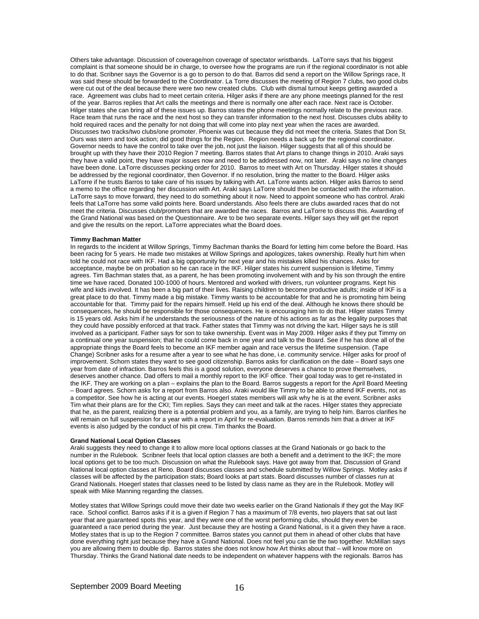Others take advantage. Discussion of coverage/non coverage of spectator wristbands. LaTorre says that his biggest complaint is that someone should be in charge, to oversee how the programs are run if the regional coordinator is not able to do that. Scribner says the Governor is a go to person to do that. Barros did send a report on the Willow Springs race, It was said these should be forwarded to the Coordinator. La Torre discusses the meeting of Region 7 clubs, two good clubs were cut out of the deal because there were two new created clubs. Club with dismal turnout keeps getting awarded a race. Agreement was clubs had to meet certain criteria. Hilger asks if there are any phone meetings planned for the rest of the year. Barros replies that Art calls the meetings and there is normally one after each race. Next race is October. Hilger states she can bring all of these issues up. Barros states the phone meetings normally relate to the previous race. Race team that runs the race and the next host so they can transfer information to the next host. Discusses clubs ability to hold required races and the penalty for not doing that will come into play next year when the races are awarded. Discusses two tracks/two clubs/one promoter. Phoenix was cut because they did not meet the criteria. States that Don St. Ours was stern and took action; did good things for the Region. Region needs a back up for the regional coordinator. Governor needs to have the control to take over the job, not just the liaison. Hilger suggests that all of this should be brought up with they have their 2010 Region 7 meeting. Barros states that Art plans to change things in 2010. Araki says they have a valid point, they have major issues now and need to be addressed now, not later. Araki says no line changes have been done. LaTorre discusses pecking order for 2010. Barros to meet with Art on Thursday. Hilger states it should be addressed by the regional coordinator, then Governor. If no resolution, bring the matter to the Board. Hilger asks LaTorre if he trusts Barros to take care of his issues by talking with Art. LaTorre wants action. Hilger asks Barros to send a memo to the office regarding her discussion with Art. Araki says LaTorre should then be contacted with the information. LaTorre says to move forward, they need to do something about it now. Need to appoint someone who has control. Araki feels that LaTorre has some valid points here. Board understands. Also feels there are clubs awarded races that do not meet the criteria. Discusses club/promoters that are awarded the races. Barros and LaTorre to discuss this. Awarding of the Grand National was based on the Questionnaire. Are to be two separate events. Hilger says they will get the report and give the results on the report. LaTorre appreciates what the Board does.

## **Timmy Bachman Matter**

In regards to the incident at Willow Springs, Timmy Bachman thanks the Board for letting him come before the Board. Has been racing for 5 years. He made two mistakes at Willow Springs and apologizes, takes ownership. Really hurt him when told he could not race with IKF. Had a big opportunity for next year and his mistakes killed his chances. Asks for acceptance, maybe be on probation so he can race in the IKF. Hilger states his current suspension is lifetime, Timmy agrees. Tim Bachman states that, as a parent, he has been promoting involvement with and by his son through the entire time we have raced. Donated 100-1000 of hours. Mentored and worked with drivers, run volunteer programs. Kept his wife and kids involved. It has been a big part of their lives. Raising children to become productive adults; inside of IKF is a great place to do that. Timmy made a big mistake. Timmy wants to be accountable for that and he is promoting him being accountable for that. Timmy paid for the repairs himself. Held up his end of the deal. Although he knows there should be consequences, he should be responsible for those consequences. He is encouraging him to do that. Hilger states Timmy is 15 years old. Asks him if he understands the seriousness of the nature of his actions as far as the legality purposes that they could have possibly enforced at that track. Father states that Timmy was not driving the kart. Hilger says he is still involved as a participant. Father says for son to take ownership. Event was in May 2009. Hilger asks if they put Timmy on a continual one year suspension; that he could come back in one year and talk to the Board. See if he has done all of the appropriate things the Board feels to become an IKF member again and race versus the lifetime suspension. (Tape Change) Scribner asks for a resume after a year to see what he has done, i.e. community service. Hilger asks for proof of improvement. Schorn states they want to see good citizenship. Barros asks for clarification on the date – Board says one year from date of infraction. Barros feels this is a good solution, everyone deserves a chance to prove themselves, deserves another chance. Dad offers to mail a monthly report to the IKF office. Their goal today was to get re-instated in the IKF. They are working on a plan – explains the plan to the Board. Barros suggests a report for the April Board Meeting – Board agrees. Schorn asks for a report from Barros also. Araki would like Timmy to be able to attend IKF events, not as a competitor. See how he is acting at our events. Hoegerl states members will ask why he is at the event. Scribner asks Tim what their plans are for the CKI; Tim replies. Says they can meet and talk at the races. Hilger states they appreciate that he, as the parent, realizing there is a potential problem and you, as a family, are trying to help him. Barros clarifies he will remain on full suspension for a year with a report in April for re-evaluation. Barros reminds him that a driver at IKF events is also judged by the conduct of his pit crew. Tim thanks the Board.

#### **Grand National Local Option Classes**

Araki suggests they need to change it to allow more local options classes at the Grand Nationals or go back to the number in the Rulebook. Scribner feels that local option classes are both a benefit and a detriment to the IKF; the more local options get to be too much. Discussion on what the Rulebook says. Have got away from that. Discussion of Grand National local option classes at Reno. Board discusses classes and schedule submitted by Willow Springs. Motley asks if classes will be affected by the participation stats; Board looks at part stats. Board discusses number of classes run at Grand Nationals. Hoegerl states that classes need to be listed by class name as they are in the Rulebook. Motley will speak with Mike Manning regarding the classes.

Motley states that Willow Springs could move their date two weeks earlier on the Grand Nationals if they got the May IKF race. School conflict. Barros asks if it is a given if Region 7 has a maximum of 7/8 events, two players that sat out last year that are guaranteed spots this year, and they were one of the worst performing clubs, should they even be guaranteed a race period during the year. Just because they are hosting a Grand National, is it a given they have a race. Motley states that is up to the Region 7 committee. Barros states you cannot put them in ahead of other clubs that have done everything right just because they have a Grand National. Does not feel you can tie the two together. McMillan says you are allowing them to double dip. Barros states she does not know how Art thinks about that – will know more on Thursday. Thinks the Grand National date needs to be independent on whatever happens with the regionals. Barros has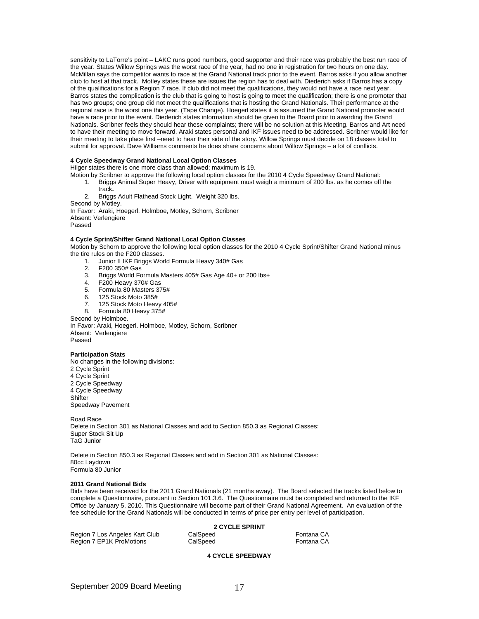sensitivity to LaTorre's point – LAKC runs good numbers, good supporter and their race was probably the best run race of the year. States Willow Springs was the worst race of the year, had no one in registration for two hours on one day. McMillan says the competitor wants to race at the Grand National track prior to the event. Barros asks if you allow another club to host at that track. Motley states these are issues the region has to deal with. Diederich asks if Barros has a copy of the qualifications for a Region 7 race. If club did not meet the qualifications, they would not have a race next year. Barros states the complication is the club that is going to host is going to meet the qualification; there is one promoter that has two groups; one group did not meet the qualifications that is hosting the Grand Nationals. Their performance at the regional race is the worst one this year. (Tape Change). Hoegerl states it is assumed the Grand National promoter would have a race prior to the event. Diederich states information should be given to the Board prior to awarding the Grand Nationals. Scribner feels they should hear these complaints; there will be no solution at this Meeting. Barros and Art need to have their meeting to move forward. Araki states personal and IKF issues need to be addressed. Scribner would like for their meeting to take place first –need to hear their side of the story. Willow Springs must decide on 18 classes total to submit for approval. Dave Williams comments he does share concerns about Willow Springs – a lot of conflicts.

## **4 Cycle Speedway Grand National Local Option Classes**

Hilger states there is one more class than allowed; maximum is 19.

Motion by Scribner to approve the following local option classes for the 2010 4 Cycle Speedway Grand National:<br>1. Briggs Animal Super Heavy, Driver with equipment must weigh a minimum of 200 lbs. as he comes off

1. Briggs Animal Super Heavy, Driver with equipment must weigh a minimum of 200 lbs. as he comes off the track**.** 

2. Briggs Adult Flathead Stock Light. Weight 320 lbs.

Second by Motley.

In Favor: Araki, Hoegerl, Holmboe, Motley, Schorn, Scribner Absent: Verlengiere Passed

## **4 Cycle Sprint/Shifter Grand National Local Option Classes**

Motion by Schorn to approve the following local option classes for the 2010 4 Cycle Sprint/Shifter Grand National minus the tire rules on the F200 classes.

- 1. Junior II IKF Briggs World Formula Heavy 340# Gas<br>2. F200 350# Gas
- 2. F200 350# Gas
- 3. Briggs World Formula Masters 405# Gas Age 40+ or 200 lbs+
- 4. F200 Heavy 370# Gas
- 5. Formula 80 Masters 375#
- 6. 125 Stock Moto 385#
- 7. 125 Stock Moto Heavy 405#
- 8. Formula 80 Heavy 375#

Second by Holmboe.

In Favor: Araki, Hoegerl. Holmboe, Motley, Schorn, Scribner Absent: Verlengiere Passed

## **Participation Stats**

No changes in the following divisions: 2 Cycle Sprint 4 Cycle Sprint 2 Cycle Speedway 4 Cycle Speedway **Shifter** Speedway Pavement

Road Race Delete in Section 301 as National Classes and add to Section 850.3 as Regional Classes: Super Stock Sit Up TaG Junior

Delete in Section 850.3 as Regional Classes and add in Section 301 as National Classes: 80cc Laydown Formula 80 Junior

# **2011 Grand National Bids**

Bids have been received for the 2011 Grand Nationals (21 months away). The Board selected the tracks listed below to complete a Questionnaire, pursuant to Section 101.3.6. The Questionnaire must be completed and returned to the IKF Office by January 5, 2010. This Questionnaire will become part of their Grand National Agreement. An evaluation of the fee schedule for the Grand Nationals will be conducted in terms of price per entry per level of participation.

|                                | <b>2 CYCLE SPRINT</b> |            |
|--------------------------------|-----------------------|------------|
| Region 7 Los Angeles Kart Club | CalSpeed              | Fontana CA |
| Region 7 EP1K ProMotions       | CalSpeed              | Fontana CA |

# **4 CYCLE SPEEDWAY**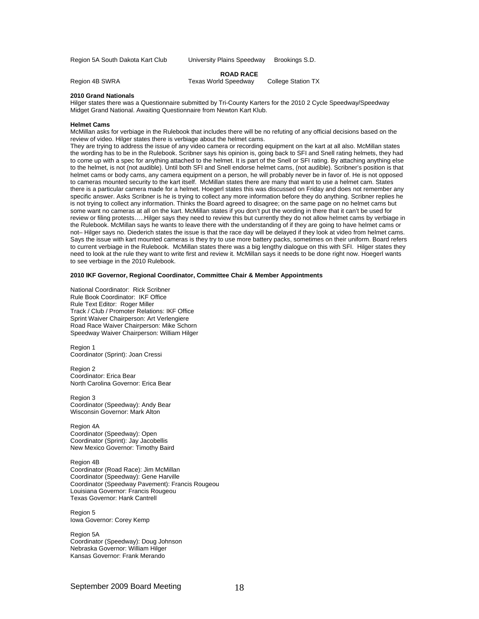Region 5A South Dakota Kart Club University Plains Speedway Brookings S.D.

## **ROAD RACE**

Region 4B SWRA Texas World Speedway College Station TX

#### **2010 Grand Nationals**

Hilger states there was a Questionnaire submitted by Tri-County Karters for the 2010 2 Cycle Speedway/Speedway Midget Grand National. Awaiting Questionnaire from Newton Kart Klub.

## **Helmet Cams**

McMillan asks for verbiage in the Rulebook that includes there will be no refuting of any official decisions based on the review of video. Hilger states there is verbiage about the helmet cams.

They are trying to address the issue of any video camera or recording equipment on the kart at all also. McMillan states the wording has to be in the Rulebook. Scribner says his opinion is, going back to SFI and Snell rating helmets, they had to come up with a spec for anything attached to the helmet. It is part of the Snell or SFI rating. By attaching anything else to the helmet, is not (not audible). Until both SFI and Snell endorse helmet cams, (not audible). Scribner's position is that helmet cams or body cams, any camera equipment on a person, he will probably never be in favor of. He is not opposed to cameras mounted security to the kart itself. McMillan states there are many that want to use a helmet cam. States there is a particular camera made for a helmet. Hoegerl states this was discussed on Friday and does not remember any specific answer. Asks Scribner is he is trying to collect any more information before they do anything. Scribner replies he is not trying to collect any information. Thinks the Board agreed to disagree; on the same page on no helmet cams but some want no cameras at all on the kart. McMillan states if you don't put the wording in there that it can't be used for review or filing protests…..Hilger says they need to review this but currently they do not allow helmet cams by verbiage in the Rulebook. McMillan says he wants to leave there with the understanding of if they are going to have helmet cams or not– Hilger says no. Diederich states the issue is that the race day will be delayed if they look at video from helmet cams. Says the issue with kart mounted cameras is they try to use more battery packs, sometimes on their uniform. Board refers to current verbiage in the Rulebook. McMillan states there was a big lengthy dialogue on this with SFI. Hilger states they need to look at the rule they want to write first and review it. McMillan says it needs to be done right now. Hoegerl wants to see verbiage in the 2010 Rulebook.

## **2010 IKF Governor, Regional Coordinator, Committee Chair & Member Appointments**

National Coordinator: Rick Scribner Rule Book Coordinator: IKF Office Rule Text Editor: Roger Miller Track / Club / Promoter Relations: IKF Office Sprint Waiver Chairperson: Art Verlengiere Road Race Waiver Chairperson: Mike Schorn Speedway Waiver Chairperson: William Hilger

Region 1 Coordinator (Sprint): Joan Cressi

Region 2 Coordinator: Erica Bear North Carolina Governor: Erica Bear

Region 3 Coordinator (Speedway): Andy Bear Wisconsin Governor: Mark Alton

Region 4A Coordinator (Speedway): Open Coordinator (Sprint): Jay Jacobellis New Mexico Governor: Timothy Baird

Region 4B Coordinator (Road Race): Jim McMillan Coordinator (Speedway): Gene Harville Coordinator (Speedway Pavement): Francis Rougeou Louisiana Governor: Francis Rougeou Texas Governor: Hank Cantrell

Region 5 Iowa Governor: Corey Kemp

Region 5A Coordinator (Speedway): Doug Johnson Nebraska Governor: William Hilger Kansas Governor: Frank Merando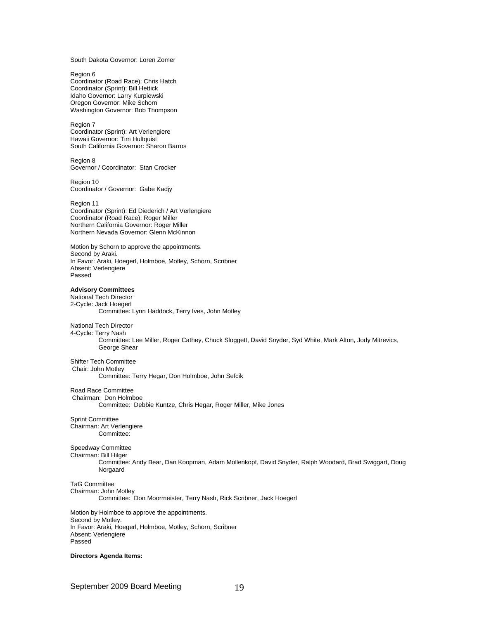South Dakota Governor: Loren Zomer

Region 6 Coordinator (Road Race): Chris Hatch Coordinator (Sprint): Bill Hettick Idaho Governor: Larry Kurpiewski Oregon Governor: Mike Schorn Washington Governor: Bob Thompson

Region 7 Coordinator (Sprint): Art Verlengiere Hawaii Governor: Tim Hultquist South California Governor: Sharon Barros

Region 8 Governor / Coordinator: Stan Crocker

Region 10 Coordinator / Governor: Gabe Kadjy

Region 11 Coordinator (Sprint): Ed Diederich / Art Verlengiere Coordinator (Road Race): Roger Miller Northern California Governor: Roger Miller Northern Nevada Governor: Glenn McKinnon

Motion by Schorn to approve the appointments. Second by Araki. In Favor: Araki, Hoegerl, Holmboe, Motley, Schorn, Scribner Absent: Verlengiere Passed

# **Advisory Committees**

National Tech Director 2-Cycle: Jack Hoegerl Committee: Lynn Haddock, Terry Ives, John Motley

# National Tech Director

4-Cycle: Terry Nash Committee: Lee Miller, Roger Cathey, Chuck Sloggett, David Snyder, Syd White, Mark Alton, Jody Mitrevics, George Shear

Shifter Tech Committee Chair: John Motley

Committee: Terry Hegar, Don Holmboe, John Sefcik

Road Race Committee

Chairman: Don Holmboe

Committee: Debbie Kuntze, Chris Hegar, Roger Miller, Mike Jones

Sprint Committee Chairman: Art Verlengiere Committee:

Speedway Committee

Chairman: Bill Hilger Committee: Andy Bear, Dan Koopman, Adam Mollenkopf, David Snyder, Ralph Woodard, Brad Swiggart, Doug

Norgaard

## TaG Committee Chairman: John Motley

Committee: Don Moormeister, Terry Nash, Rick Scribner, Jack Hoegerl

Motion by Holmboe to approve the appointments. Second by Motley. In Favor: Araki, Hoegerl, Holmboe, Motley, Schorn, Scribner Absent: Verlengiere Passed

**Directors Agenda Items:**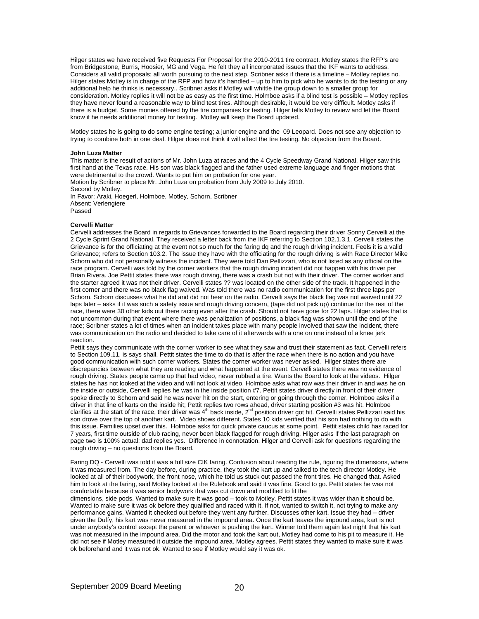Hilger states we have received five Requests For Proposal for the 2010-2011 tire contract. Motley states the RFP's are from Bridgestone, Burris, Hoosier, MG and Vega. He felt they all incorporated issues that the IKF wants to address. Considers all valid proposals; all worth pursuing to the next step. Scribner asks if there is a timeline – Motley replies no. Hilger states Motley is in charge of the RFP and how it's handled – up to him to pick who he wants to do the testing or any additional help he thinks is necessary.. Scribner asks if Motley will whittle the group down to a smaller group for consideration. Motley replies it will not be as easy as the first time. Holmboe asks if a blind test is possible – Motley replies they have never found a reasonable way to blind test tires. Although desirable, it would be very difficult. Motley asks if there is a budget. Some monies offered by the tire companies for testing. Hilger tells Motley to review and let the Board know if he needs additional money for testing. Motley will keep the Board updated.

Motley states he is going to do some engine testing; a junior engine and the 09 Leopard. Does not see any objection to trying to combine both in one deal. Hilger does not think it will affect the tire testing. No objection from the Board.

#### **John Luza Matter**

This matter is the result of actions of Mr. John Luza at races and the 4 Cycle Speedway Grand National. Hilger saw this first hand at the Texas race. His son was black flagged and the father used extreme language and finger motions that were detrimental to the crowd. Wants to put him on probation for one year.

Motion by Scribner to place Mr. John Luza on probation from July 2009 to July 2010. Second by Motley. In Favor: Araki, Hoegerl, Holmboe, Motley, Schorn, Scribner Absent: Verlengiere

Passed

#### **Cervelli Matter**

Cervelli addresses the Board in regards to Grievances forwarded to the Board regarding their driver Sonny Cervelli at the 2 Cycle Sprint Grand National. They received a letter back from the IKF referring to Section 102.1.3.1. Cervelli states the Grievance is for the officiating at the event not so much for the faring dq and the rough driving incident. Feels it is a valid Grievance; refers to Section 103.2. The issue they have with the officiating for the rough driving is with Race Director Mike Schorn who did not personally witness the incident. They were told Dan Pellizzari, who is not listed as any official on the race program. Cervelli was told by the corner workers that the rough driving incident did not happen with his driver per Brian Rivera. Joe Pettit states there was rough driving, there was a crash but not with their driver. The corner worker and the starter agreed it was not their driver. Cervelli states ?? was located on the other side of the track. It happened in the first corner and there was no black flag waived. Was told there was no radio communication for the first three laps per Schorn. Schorn discusses what he did and did not hear on the radio. Cervelli says the black flag was not waived until 22 laps later – asks if it was such a safety issue and rough driving concern, (tape did not pick up) continue for the rest of the race, there were 30 other kids out there racing even after the crash. Should not have gone for 22 laps. Hilger states that is not uncommon during that event where there was penalization of positions, a black flag was shown until the end of the race; Scribner states a lot of times when an incident takes place with many people involved that saw the incident, there was communication on the radio and decided to take care of it afterwards with a one on one instead of a knee jerk reaction.

Pettit says they communicate with the corner worker to see what they saw and trust their statement as fact. Cervelli refers to Section 109.11, is says shall. Pettit states the time to do that is after the race when there is no action and you have good communication with such corner workers. States the corner worker was never asked. Hilger states there are discrepancies between what they are reading and what happened at the event. Cervelli states there was no evidence of rough driving. States people came up that had video, never rubbed a tire. Wants the Board to look at the videos. Hilger states he has not looked at the video and will not look at video. Holmboe asks what row was their driver in and was he on the inside or outside, Cervelli replies he was in the inside position #7. Pettit states driver directly in front of their driver spoke directly to Schorn and said he was never hit on the start, entering or going through the corner. Holmboe asks if a driver in that line of karts on the inside hit; Pettit replies two rows ahead, driver starting position #3 was hit. Holmboe clarifies at the start of the race, their driver was  $4^{th}$  back inside,  $2^{nd}$  position driver got hit. Cervelli states Pellizzari said his son drove over the top of another kart. Video shows different. States 10 kids verified that his son had nothing to do with this issue. Families upset over this. Holmboe asks for quick private caucus at some point. Pettit states child has raced for 7 years, first time outside of club racing, never been black flagged for rough driving. Hilger asks if the last paragraph on page two is 100% actual; dad replies yes. Difference in connotation. Hilger and Cervelli ask for questions regarding the rough driving – no questions from the Board.

Faring DQ - Cervelli was told it was a full size CIK faring. Confusion about reading the rule, figuring the dimensions, where it was measured from. The day before, during practice, they took the kart up and talked to the tech director Motley. He looked at all of their bodywork, the front nose, which he told us stuck out passed the front tires. He changed that. Asked him to look at the faring, said Motley looked at the Rulebook and said it was fine. Good to go. Pettit states he was not comfortable because it was senior bodywork that was cut down and modified to fit the

dimensions, side pods. Wanted to make sure it was good – took to Motley. Pettit states it was wider than it should be. Wanted to make sure it was ok before they qualified and raced with it. If not, wanted to switch it, not trying to make any performance gains. Wanted it checked out before they went any further. Discusses other kart. Issue they had – driver given the Duffy, his kart was never measured in the impound area. Once the kart leaves the impound area, kart is not under anybody's control except the parent or whoever is pushing the kart. Winner told them again last night that his kart was not measured in the impound area. Did the motor and took the kart out, Motley had come to his pit to measure it. He did not see if Motley measured it outside the impound area. Motley agrees. Pettit states they wanted to make sure it was ok beforehand and it was not ok. Wanted to see if Motley would say it was ok.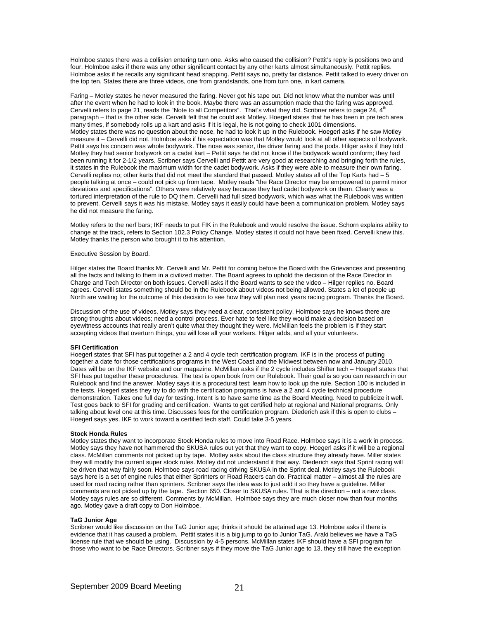Holmboe states there was a collision entering turn one. Asks who caused the collision? Pettit's reply is positions two and four. Holmboe asks if there was any other significant contact by any other karts almost simultaneously. Pettit replies. Holmboe asks if he recalls any significant head snapping. Pettit says no, pretty far distance. Pettit talked to every driver on the top ten. States there are three videos, one from grandstands, one from turn one, in kart camera.

Faring – Motley states he never measured the faring. Never got his tape out. Did not know what the number was until after the event when he had to look in the book. Maybe there was an assumption made that the faring was approved. Cervelli refers to page 21, reads the "Note to all Competitors". That's what they did. Scribner refers to page  $24$ ,  $4<sup>th</sup>$ paragraph – that is the other side. Cervelli felt that he could ask Motley. Hoegerl states that he has been in pre tech area many times, if somebody rolls up a kart and asks if it is legal, he is not going to check 1001 dimensions. Motley states there was no question about the nose, he had to look it up in the Rulebook. Hoegerl asks if he saw Motley measure it – Cervelli did not. Holmboe asks if his expectation was that Motley would look at all other aspects of bodywork. Pettit says his concern was whole bodywork. The nose was senior, the driver faring and the pods. Hilger asks if they told Motley they had senior bodywork on a cadet kart – Pettit says he did not know if the bodywork would conform; they had been running it for 2-1/2 years. Scribner says Cervelli and Pettit are very good at researching and bringing forth the rules, it states in the Rulebook the maximum width for the cadet bodywork. Asks if they were able to measure their own faring. Cervelli replies no; other karts that did not meet the standard that passed. Motley states all of the Top Karts had – 5 people talking at once – could not pick up from tape. Motley reads "the Race Director may be empowered to permit minor deviations and specifications". Others were relatively easy because they had cadet bodywork on them. Clearly was a tortured interpretation of the rule to DQ them. Cervelli had full sized bodywork, which was what the Rulebook was written to prevent. Cervelli says it was his mistake. Motley says it easily could have been a communication problem. Motley says he did not measure the faring.

Motley refers to the nerf bars; IKF needs to put FIK in the Rulebook and would resolve the issue. Schorn explains ability to change at the track, refers to Section 102.3 Policy Change. Motley states it could not have been fixed. Cervelli knew this. Motley thanks the person who brought it to his attention.

## Executive Session by Board.

Hilger states the Board thanks Mr. Cervelli and Mr. Pettit for coming before the Board with the Grievances and presenting all the facts and talking to them in a civilized matter. The Board agrees to uphold the decision of the Race Director in Charge and Tech Director on both issues. Cervelli asks if the Board wants to see the video – Hilger replies no. Board agrees. Cervelli states something should be in the Rulebook about videos not being allowed. States a lot of people up North are waiting for the outcome of this decision to see how they will plan next years racing program. Thanks the Board.

Discussion of the use of videos. Motley says they need a clear, consistent policy. Holmboe says he knows there are strong thoughts about videos; need a control process. Ever hate to feel like they would make a decision based on eyewitness accounts that really aren't quite what they thought they were. McMillan feels the problem is if they start accepting videos that overturn things, you will lose all your workers. Hilger adds, and all your volunteers.

#### **SFI Certification**

Hoegerl states that SFI has put together a 2 and 4 cycle tech certification program. IKF is in the process of putting together a date for those certifications programs in the West Coast and the Midwest between now and January 2010. Dates will be on the IKF website and our magazine. McMillan asks if the 2 cycle includes Shifter tech – Hoegerl states that SFI has put together these procedures. The test is open book from our Rulebook. Their goal is so you can research in our Rulebook and find the answer. Motley says it is a procedural test; learn how to look up the rule. Section 100 is included in the tests. Hoegerl states they try to do with the certification programs is have a 2 and 4 cycle technical procedure demonstration. Takes one full day for testing. Intent is to have same time as the Board Meeting. Need to publicize it well. Test goes back to SFI for grading and certification. Wants to get certified help at regional and National programs. Only talking about level one at this time. Discusses fees for the certification program. Diederich ask if this is open to clubs – Hoegerl says yes. IKF to work toward a certified tech staff. Could take 3-5 years.

#### **Stock Honda Rules**

Motley states they want to incorporate Stock Honda rules to move into Road Race. Holmboe says it is a work in process. Motley says they have not hammered the SKUSA rules out yet that they want to copy. Hoegerl asks if it will be a regional class. McMillan comments not picked up by tape. Motley asks about the class structure they already have. Miller states they will modify the current super stock rules. Motley did not understand it that way. Diederich says that Sprint racing will be driven that way fairly soon. Holmboe says road racing driving SKUSA in the Sprint deal. Motley says the Rulebook says here is a set of engine rules that either Sprinters or Road Racers can do. Practical matter – almost all the rules are used for road racing rather than sprinters. Scribner says the idea was to just add it so they have a guideline. Miller comments are not picked up by the tape. Section 650. Closer to SKUSA rules. That is the direction – not a new class. Motley says rules are so different. Comments by McMillan. Holmboe says they are much closer now than four months ago. Motley gave a draft copy to Don Holmboe.

## **TaG Junior Age**

Scribner would like discussion on the TaG Junior age; thinks it should be attained age 13. Holmboe asks if there is evidence that it has caused a problem. Pettit states it is a big jump to go to Junior TaG. Araki believes we have a TaG license rule that we should be using. Discussion by 4-5 persons. McMillan states IKF should have a SFI program for those who want to be Race Directors. Scribner says if they move the TaG Junior age to 13, they still have the exception